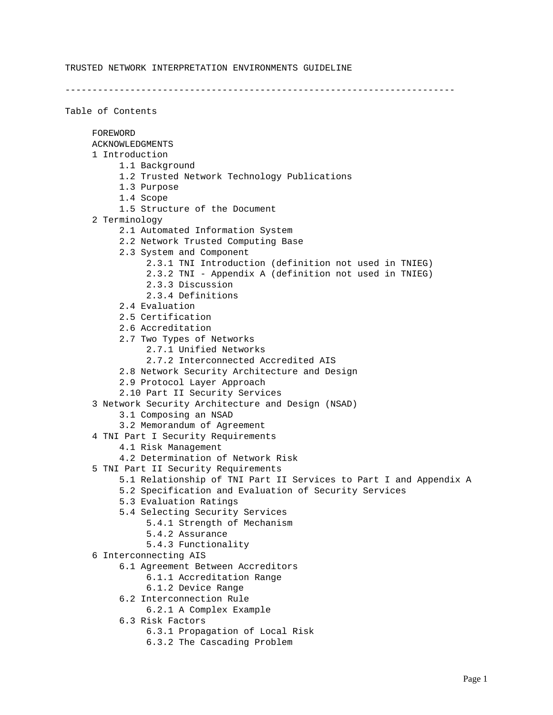------------------------------------------------------------------------

Table of Contents FOREWORD ACKNOWLEDGMENTS 1 Introduction 1.1 Background 1.2 Trusted Network Technology Publications 1.3 Purpose 1.4 Scope 1.5 Structure of the Document 2 Terminology 2.1 Automated Information System 2.2 Network Trusted Computing Base 2.3 System and Component 2.3.1 TNI Introduction (definition not used in TNIEG) 2.3.2 TNI - Appendix A (definition not used in TNIEG) 2.3.3 Discussion 2.3.4 Definitions 2.4 Evaluation 2.5 Certification 2.6 Accreditation 2.7 Two Types of Networks 2.7.1 Unified Networks 2.7.2 Interconnected Accredited AIS 2.8 Network Security Architecture and Design 2.9 Protocol Layer Approach 2.10 Part II Security Services 3 Network Security Architecture and Design (NSAD) 3.1 Composing an NSAD 3.2 Memorandum of Agreement 4 TNI Part I Security Requirements 4.1 Risk Management 4.2 Determination of Network Risk 5 TNI Part II Security Requirements 5.1 Relationship of TNI Part II Services to Part I and Appendix A 5.2 Specification and Evaluation of Security Services 5.3 Evaluation Ratings 5.4 Selecting Security Services 5.4.1 Strength of Mechanism 5.4.2 Assurance 5.4.3 Functionality 6 Interconnecting AIS 6.1 Agreement Between Accreditors 6.1.1 Accreditation Range 6.1.2 Device Range 6.2 Interconnection Rule 6.2.1 A Complex Example 6.3 Risk Factors 6.3.1 Propagation of Local Risk

6.3.2 The Cascading Problem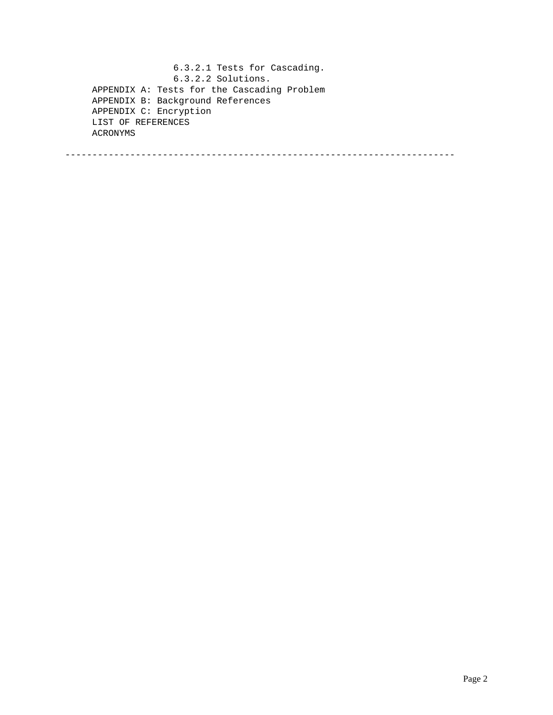6.3.2.1 Tests for Cascading. 6.3.2.2 Solutions. APPENDIX A: Tests for the Cascading Problem APPENDIX B: Background References APPENDIX C: Encryption LIST OF REFERENCES ACRONYMS

------------------------------------------------------------------------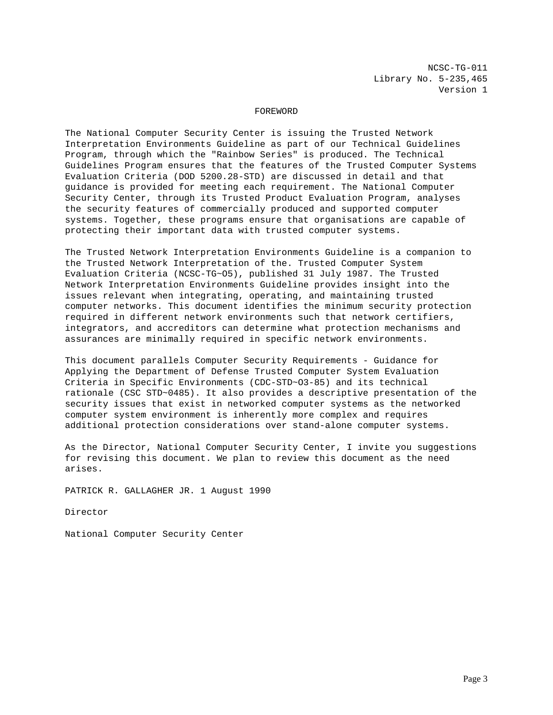NCSC-TG-011 Library No. 5-235,465 Version 1

### FOREWORD

The National Computer Security Center is issuing the Trusted Network Interpretation Environments Guideline as part of our Technical Guidelines Program, through which the "Rainbow Series" is produced. The Technical Guidelines Program ensures that the features of the Trusted Computer Systems Evaluation Criteria (DOD 5200.28-STD) are discussed in detail and that guidance is provided for meeting each requirement. The National Computer Security Center, through its Trusted Product Evaluation Program, analyses the security features of commercially produced and supported computer systems. Together, these programs ensure that organisations are capable of protecting their important data with trusted computer systems.

The Trusted Network Interpretation Environments Guideline is a companion to the Trusted Network Interpretation of the. Trusted Computer System Evaluation Criteria (NCSC-TG~O5), published 31 July 1987. The Trusted Network Interpretation Environments Guideline provides insight into the issues relevant when integrating, operating, and maintaining trusted computer networks. This document identifies the minimum security protection required in different network environments such that network certifiers, integrators, and accreditors can determine what protection mechanisms and assurances are minimally required in specific network environments.

This document parallels Computer Security Requirements - Guidance for Applying the Department of Defense Trusted Computer System Evaluation Criteria in Specific Environments (CDC-STD~O3-85) and its technical rationale (CSC STD~0485). It also provides a descriptive presentation of the security issues that exist in networked computer systems as the networked computer system environment is inherently more complex and requires additional protection considerations over stand-alone computer systems.

As the Director, National Computer Security Center, I invite you suggestions for revising this document. We plan to review this document as the need arises.

PATRICK R. GALLAGHER JR. 1 August 1990

Director

National Computer Security Center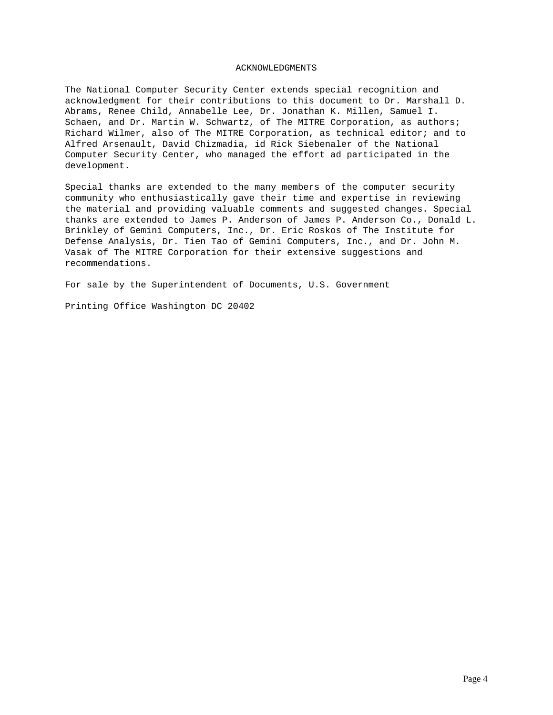### ACKNOWLEDGMENTS

The National Computer Security Center extends special recognition and acknowledgment for their contributions to this document to Dr. Marshall D. Abrams, Renee Child, Annabelle Lee, Dr. Jonathan K. Millen, Samuel I. Schaen, and Dr. Martin W. Schwartz, of The MITRE Corporation, as authors; Richard Wilmer, also of The MITRE Corporation, as technical editor; and to Alfred Arsenault, David Chizmadia, id Rick Siebenaler of the National Computer Security Center, who managed the effort ad participated in the development.

Special thanks are extended to the many members of the computer security community who enthusiastically gave their time and expertise in reviewing the material and providing valuable comments and suggested changes. Special thanks are extended to James P. Anderson of James P. Anderson Co., Donald L. Brinkley of Gemini Computers, Inc., Dr. Eric Roskos of The Institute for Defense Analysis, Dr. Tien Tao of Gemini Computers, Inc., and Dr. John M. Vasak of The MITRE Corporation for their extensive suggestions and recommendations.

For sale by the Superintendent of Documents, U.S. Government

Printing Office Washington DC 20402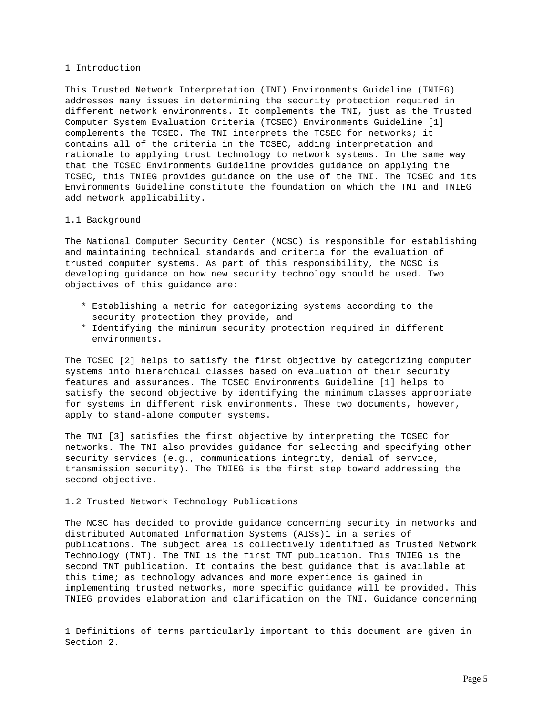### 1 Introduction

This Trusted Network Interpretation (TNI) Environments Guideline (TNIEG) addresses many issues in determining the security protection required in different network environments. It complements the TNI, just as the Trusted Computer System Evaluation Criteria (TCSEC) Environments Guideline [1] complements the TCSEC. The TNI interprets the TCSEC for networks; it contains all of the criteria in the TCSEC, adding interpretation and rationale to applying trust technology to network systems. In the same way that the TCSEC Environments Guideline provides guidance on applying the TCSEC, this TNIEG provides guidance on the use of the TNI. The TCSEC and its Environments Guideline constitute the foundation on which the TNI and TNIEG add network applicability.

### 1.1 Background

The National Computer Security Center (NCSC) is responsible for establishing and maintaining technical standards and criteria for the evaluation of trusted computer systems. As part of this responsibility, the NCSC is developing guidance on how new security technology should be used. Two objectives of this guidance are:

- \* Establishing a metric for categorizing systems according to the security protection they provide, and
- \* Identifying the minimum security protection required in different environments.

The TCSEC [2] helps to satisfy the first objective by categorizing computer systems into hierarchical classes based on evaluation of their security features and assurances. The TCSEC Environments Guideline [1] helps to satisfy the second objective by identifying the minimum classes appropriate for systems in different risk environments. These two documents, however, apply to stand-alone computer systems.

The TNI [3] satisfies the first objective by interpreting the TCSEC for networks. The TNI also provides guidance for selecting and specifying other security services (e.g., communications integrity, denial of service, transmission security). The TNIEG is the first step toward addressing the second objective.

## 1.2 Trusted Network Technology Publications

The NCSC has decided to provide guidance concerning security in networks and distributed Automated Information Systems (AISs)1 in a series of publications. The subject area is collectively identified as Trusted Network Technology (TNT). The TNI is the first TNT publication. This TNIEG is the second TNT publication. It contains the best guidance that is available at this time; as technology advances and more experience is gained in implementing trusted networks, more specific guidance will be provided. This TNIEG provides elaboration and clarification on the TNI. Guidance concerning

1 Definitions of terms particularly important to this document are given in Section 2.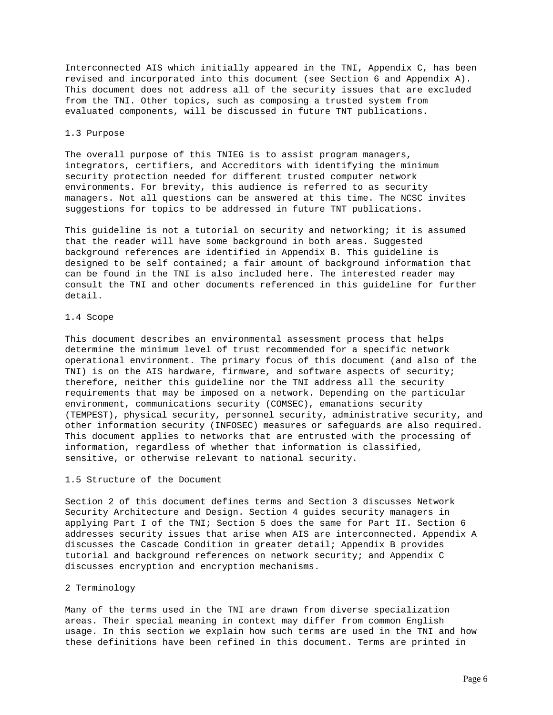Interconnected AIS which initially appeared in the TNI, Appendix C, has been revised and incorporated into this document (see Section 6 and Appendix A). This document does not address all of the security issues that are excluded from the TNI. Other topics, such as composing a trusted system from evaluated components, will be discussed in future TNT publications.

### 1.3 Purpose

The overall purpose of this TNIEG is to assist program managers, integrators, certifiers, and Accreditors with identifying the minimum security protection needed for different trusted computer network environments. For brevity, this audience is referred to as security managers. Not all questions can be answered at this time. The NCSC invites suggestions for topics to be addressed in future TNT publications.

This guideline is not a tutorial on security and networking; it is assumed that the reader will have some background in both areas. Suggested background references are identified in Appendix B. This guideline is designed to be self contained; a fair amount of background information that can be found in the TNI is also included here. The interested reader may consult the TNI and other documents referenced in this guideline for further detail.

## 1.4 Scope

This document describes an environmental assessment process that helps determine the minimum level of trust recommended for a specific network operational environment. The primary focus of this document (and also of the TNI) is on the AIS hardware, firmware, and software aspects of security; therefore, neither this guideline nor the TNI address all the security requirements that may be imposed on a network. Depending on the particular environment, communications security (COMSEC), emanations security (TEMPEST), physical security, personnel security, administrative security, and other information security (INFOSEC) measures or safeguards are also required. This document applies to networks that are entrusted with the processing of information, regardless of whether that information is classified, sensitive, or otherwise relevant to national security.

## 1.5 Structure of the Document

Section 2 of this document defines terms and Section 3 discusses Network Security Architecture and Design. Section 4 guides security managers in applying Part I of the TNI; Section 5 does the same for Part II. Section 6 addresses security issues that arise when AIS are interconnected. Appendix A discusses the Cascade Condition in greater detail; Appendix B provides tutorial and background references on network security; and Appendix C discusses encryption and encryption mechanisms.

#### 2 Terminology

Many of the terms used in the TNI are drawn from diverse specialization areas. Their special meaning in context may differ from common English usage. In this section we explain how such terms are used in the TNI and how these definitions have been refined in this document. Terms are printed in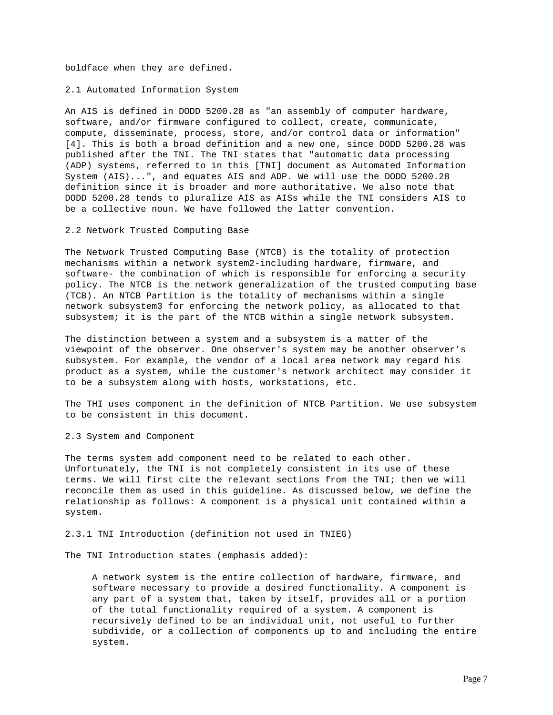boldface when they are defined.

2.1 Automated Information System

An AIS is defined in DODD 5200.28 as "an assembly of computer hardware, software, and/or firmware configured to collect, create, communicate, compute, disseminate, process, store, and/or control data or information" [4]. This is both a broad definition and a new one, since DODD 5200.28 was published after the TNI. The TNI states that "automatic data processing (ADP) systems, referred to in this [TNI] document as Automated Information System (AIS)...", and equates AIS and ADP. We will use the DODD 5200.28 definition since it is broader and more authoritative. We also note that DODD 5200.28 tends to pluralize AIS as AISs while the TNI considers AIS to be a collective noun. We have followed the latter convention.

2.2 Network Trusted Computing Base

The Network Trusted Computing Base (NTCB) is the totality of protection mechanisms within a network system2-including hardware, firmware, and software- the combination of which is responsible for enforcing a security policy. The NTCB is the network generalization of the trusted computing base (TCB). An NTCB Partition is the totality of mechanisms within a single network subsystem3 for enforcing the network policy, as allocated to that subsystem; it is the part of the NTCB within a single network subsystem.

The distinction between a system and a subsystem is a matter of the viewpoint of the observer. One observer's system may be another observer's subsystem. For example, the vendor of a local area network may regard his product as a system, while the customer's network architect may consider it to be a subsystem along with hosts, workstations, etc.

The THI uses component in the definition of NTCB Partition. We use subsystem to be consistent in this document.

2.3 System and Component

The terms system add component need to be related to each other. Unfortunately, the TNI is not completely consistent in its use of these terms. We will first cite the relevant sections from the TNI; then we will reconcile them as used in this guideline. As discussed below, we define the relationship as follows: A component is a physical unit contained within a system.

### 2.3.1 TNI Introduction (definition not used in TNIEG)

The TNI Introduction states (emphasis added):

 A network system is the entire collection of hardware, firmware, and software necessary to provide a desired functionality. A component is any part of a system that, taken by itself, provides all or a portion of the total functionality required of a system. A component is recursively defined to be an individual unit, not useful to further subdivide, or a collection of components up to and including the entire system.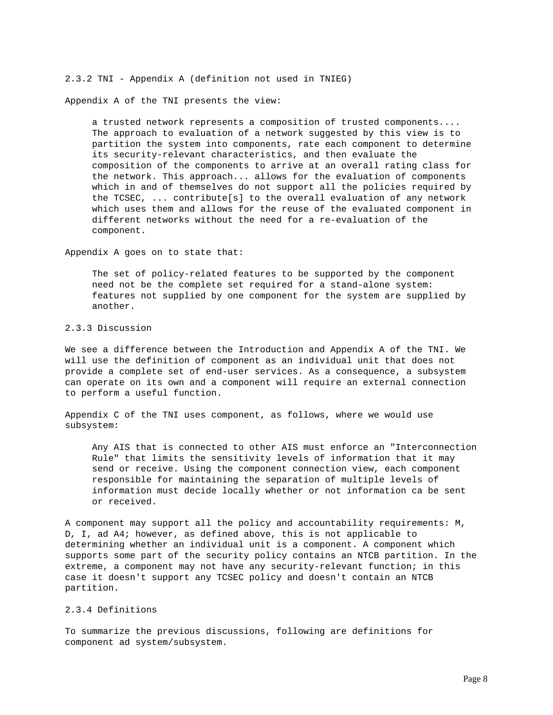2.3.2 TNI - Appendix A (definition not used in TNIEG)

Appendix A of the TNI presents the view:

 a trusted network represents a composition of trusted components.... The approach to evaluation of a network suggested by this view is to partition the system into components, rate each component to determine its security-relevant characteristics, and then evaluate the composition of the components to arrive at an overall rating class for the network. This approach... allows for the evaluation of components which in and of themselves do not support all the policies required by the TCSEC, ... contribute[s] to the overall evaluation of any network which uses them and allows for the reuse of the evaluated component in different networks without the need for a re-evaluation of the component.

Appendix A goes on to state that:

 The set of policy-related features to be supported by the component need not be the complete set required for a stand-alone system: features not supplied by one component for the system are supplied by another.

2.3.3 Discussion

We see a difference between the Introduction and Appendix A of the TNI. We will use the definition of component as an individual unit that does not provide a complete set of end-user services. As a consequence, a subsystem can operate on its own and a component will require an external connection to perform a useful function.

Appendix C of the TNI uses component, as follows, where we would use subsystem:

 Any AIS that is connected to other AIS must enforce an "Interconnection Rule" that limits the sensitivity levels of information that it may send or receive. Using the component connection view, each component responsible for maintaining the separation of multiple levels of information must decide locally whether or not information ca be sent or received.

A component may support all the policy and accountability requirements: M, D, I, ad A4; however, as defined above, this is not applicable to determining whether an individual unit is a component. A component which supports some part of the security policy contains an NTCB partition. In the extreme, a component may not have any security-relevant function; in this case it doesn't support any TCSEC policy and doesn't contain an NTCB partition.

## 2.3.4 Definitions

To summarize the previous discussions, following are definitions for component ad system/subsystem.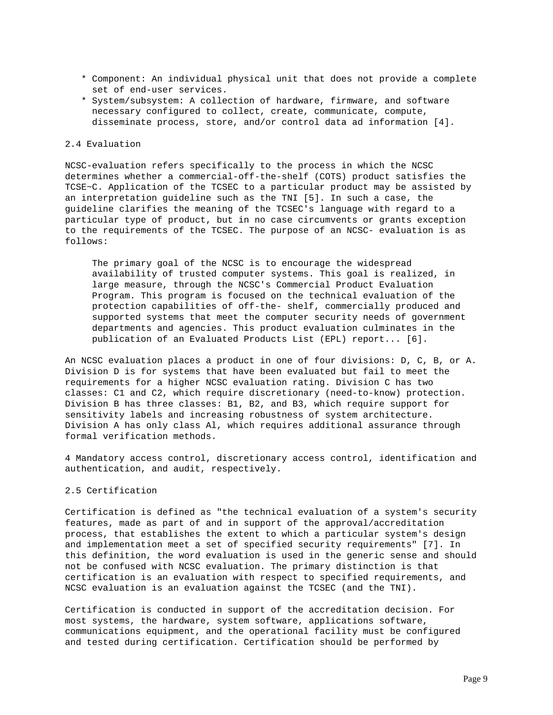- \* Component: An individual physical unit that does not provide a complete set of end-user services.
- \* System/subsystem: A collection of hardware, firmware, and software necessary configured to collect, create, communicate, compute, disseminate process, store, and/or control data ad information [4].

## 2.4 Evaluation

NCSC-evaluation refers specifically to the process in which the NCSC determines whether a commercial-off-the-shelf (COTS) product satisfies the TCSE~C. Application of the TCSEC to a particular product may be assisted by an interpretation guideline such as the TNI [5]. In such a case, the guideline clarifies the meaning of the TCSEC's language with regard to a particular type of product, but in no case circumvents or grants exception to the requirements of the TCSEC. The purpose of an NCSC- evaluation is as follows:

 The primary goal of the NCSC is to encourage the widespread availability of trusted computer systems. This goal is realized, in large measure, through the NCSC's Commercial Product Evaluation Program. This program is focused on the technical evaluation of the protection capabilities of off-the- shelf, commercially produced and supported systems that meet the computer security needs of government departments and agencies. This product evaluation culminates in the publication of an Evaluated Products List (EPL) report... [6].

An NCSC evaluation places a product in one of four divisions: D, C, B, or A. Division D is for systems that have been evaluated but fail to meet the requirements for a higher NCSC evaluation rating. Division C has two classes: C1 and C2, which require discretionary (need-to-know) protection. Division B has three classes: B1, B2, and B3, which require support for sensitivity labels and increasing robustness of system architecture. Division A has only class Al, which requires additional assurance through formal verification methods.

4 Mandatory access control, discretionary access control, identification and authentication, and audit, respectively.

## 2.5 Certification

Certification is defined as "the technical evaluation of a system's security features, made as part of and in support of the approval/accreditation process, that establishes the extent to which a particular system's design and implementation meet a set of specified security requirements" [7]. In this definition, the word evaluation is used in the generic sense and should not be confused with NCSC evaluation. The primary distinction is that certification is an evaluation with respect to specified requirements, and NCSC evaluation is an evaluation against the TCSEC (and the TNI).

Certification is conducted in support of the accreditation decision. For most systems, the hardware, system software, applications software, communications equipment, and the operational facility must be configured and tested during certification. Certification should be performed by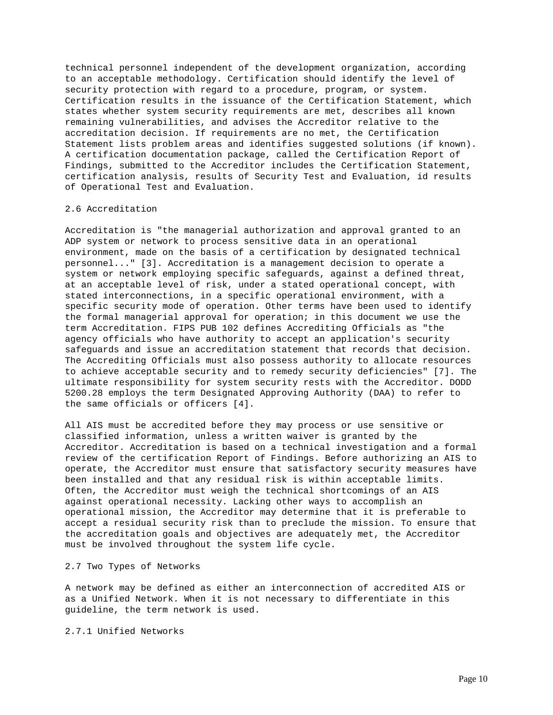technical personnel independent of the development organization, according to an acceptable methodology. Certification should identify the level of security protection with regard to a procedure, program, or system. Certification results in the issuance of the Certification Statement, which states whether system security requirements are met, describes all known remaining vulnerabilities, and advises the Accreditor relative to the accreditation decision. If requirements are no met, the Certification Statement lists problem areas and identifies suggested solutions (if known). A certification documentation package, called the Certification Report of Findings, submitted to the Accreditor includes the Certification Statement, certification analysis, results of Security Test and Evaluation, id results of Operational Test and Evaluation.

### 2.6 Accreditation

Accreditation is "the managerial authorization and approval granted to an ADP system or network to process sensitive data in an operational environment, made on the basis of a certification by designated technical personnel..." [3]. Accreditation is a management decision to operate a system or network employing specific safeguards, against a defined threat, at an acceptable level of risk, under a stated operational concept, with stated interconnections, in a specific operational environment, with a specific security mode of operation. Other terms have been used to identify the formal managerial approval for operation; in this document we use the term Accreditation. FIPS PUB 102 defines Accrediting Officials as "the agency officials who have authority to accept an application's security safeguards and issue an accreditation statement that records that decision. The Accrediting Officials must also possess authority to allocate resources to achieve acceptable security and to remedy security deficiencies" [7]. The ultimate responsibility for system security rests with the Accreditor. DODD 5200.28 employs the term Designated Approving Authority (DAA) to refer to the same officials or officers [4].

All AIS must be accredited before they may process or use sensitive or classified information, unless a written waiver is granted by the Accreditor. Accreditation is based on a technical investigation and a formal review of the certification Report of Findings. Before authorizing an AIS to operate, the Accreditor must ensure that satisfactory security measures have been installed and that any residual risk is within acceptable limits. Often, the Accreditor must weigh the technical shortcomings of an AIS against operational necessity. Lacking other ways to accomplish an operational mission, the Accreditor may determine that it is preferable to accept a residual security risk than to preclude the mission. To ensure that the accreditation goals and objectives are adequately met, the Accreditor must be involved throughout the system life cycle.

### 2.7 Two Types of Networks

A network may be defined as either an interconnection of accredited AIS or as a Unified Network. When it is not necessary to differentiate in this guideline, the term network is used.

2.7.1 Unified Networks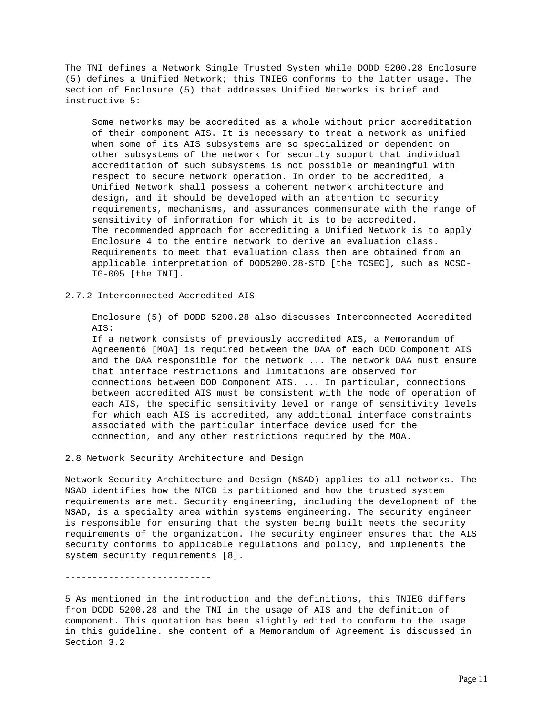The TNI defines a Network Single Trusted System while DODD 5200.28 Enclosure (5) defines a Unified Network; this TNIEG conforms to the latter usage. The section of Enclosure (5) that addresses Unified Networks is brief and instructive 5:

 Some networks may be accredited as a whole without prior accreditation of their component AIS. It is necessary to treat a network as unified when some of its AIS subsystems are so specialized or dependent on other subsystems of the network for security support that individual accreditation of such subsystems is not possible or meaningful with respect to secure network operation. In order to be accredited, a Unified Network shall possess a coherent network architecture and design, and it should be developed with an attention to security requirements, mechanisms, and assurances commensurate with the range of sensitivity of information for which it is to be accredited. The recommended approach for accrediting a Unified Network is to apply Enclosure 4 to the entire network to derive an evaluation class. Requirements to meet that evaluation class then are obtained from an applicable interpretation of DOD5200.28-STD [the TCSEC], such as NCSC- TG-005 [the TNI].

## 2.7.2 Interconnected Accredited AIS

 Enclosure (5) of DODD 5200.28 also discusses Interconnected Accredited AIS:

 If a network consists of previously accredited AIS, a Memorandum of Agreement6 [MOA] is required between the DAA of each DOD Component AIS and the DAA responsible for the network ... The network DAA must ensure that interface restrictions and limitations are observed for connections between DOD Component AIS. ... In particular, connections between accredited AIS must be consistent with the mode of operation of each AIS, the specific sensitivity level or range of sensitivity levels for which each AIS is accredited, any additional interface constraints associated with the particular interface device used for the connection, and any other restrictions required by the MOA.

## 2.8 Network Security Architecture and Design

Network Security Architecture and Design (NSAD) applies to all networks. The NSAD identifies how the NTCB is partitioned and how the trusted system requirements are met. Security engineering, including the development of the NSAD, is a specialty area within systems engineering. The security engineer is responsible for ensuring that the system being built meets the security requirements of the organization. The security engineer ensures that the AIS security conforms to applicable regulations and policy, and implements the system security requirements [8].

#### ---------------------------

5 As mentioned in the introduction and the definitions, this TNIEG differs from DODD 5200.28 and the TNI in the usage of AIS and the definition of component. This quotation has been slightly edited to conform to the usage in this guideline. she content of a Memorandum of Agreement is discussed in Section 3.2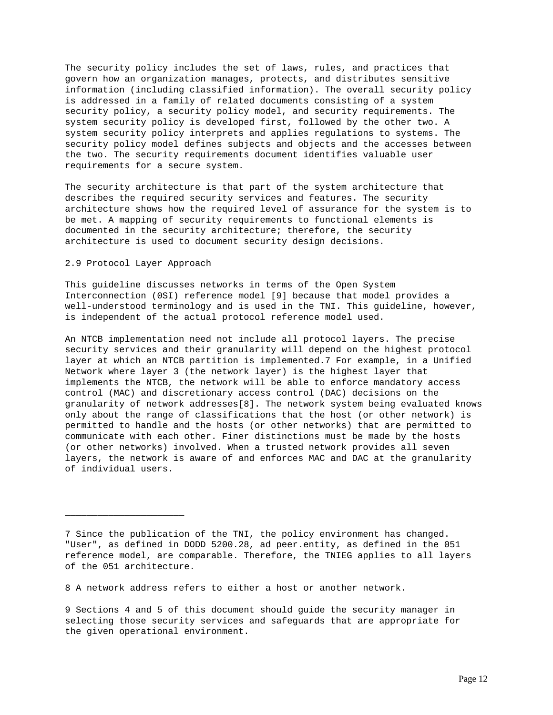The security policy includes the set of laws, rules, and practices that govern how an organization manages, protects, and distributes sensitive information (including classified information). The overall security policy is addressed in a family of related documents consisting of a system security policy, a security policy model, and security requirements. The system security policy is developed first, followed by the other two. A system security policy interprets and applies regulations to systems. The security policy model defines subjects and objects and the accesses between the two. The security requirements document identifies valuable user requirements for a secure system.

The security architecture is that part of the system architecture that describes the required security services and features. The security architecture shows how the required level of assurance for the system is to be met. A mapping of security requirements to functional elements is documented in the security architecture; therefore, the security architecture is used to document security design decisions.

## 2.9 Protocol Layer Approach

 $\overline{\phantom{a}}$  , where  $\overline{\phantom{a}}$  , where  $\overline{\phantom{a}}$  , where  $\overline{\phantom{a}}$ 

This guideline discusses networks in terms of the Open System Interconnection (0SI) reference model [9] because that model provides a well-understood terminology and is used in the TNI. This guideline, however, is independent of the actual protocol reference model used.

An NTCB implementation need not include all protocol layers. The precise security services and their granularity will depend on the highest protocol layer at which an NTCB partition is implemented.7 For example, in a Unified Network where layer 3 (the network layer) is the highest layer that implements the NTCB, the network will be able to enforce mandatory access control (MAC) and discretionary access control (DAC) decisions on the granularity of network addresses[8]. The network system being evaluated knows only about the range of classifications that the host (or other network) is permitted to handle and the hosts (or other networks) that are permitted to communicate with each other. Finer distinctions must be made by the hosts (or other networks) involved. When a trusted network provides all seven layers, the network is aware of and enforces MAC and DAC at the granularity of individual users.

8 A network address refers to either a host or another network.

9 Sections 4 and 5 of this document should guide the security manager in selecting those security services and safeguards that are appropriate for the given operational environment.

<sup>7</sup> Since the publication of the TNI, the policy environment has changed. "User", as defined in DODD 5200.28, ad peer.entity, as defined in the 051 reference model, are comparable. Therefore, the TNIEG applies to all layers of the 051 architecture.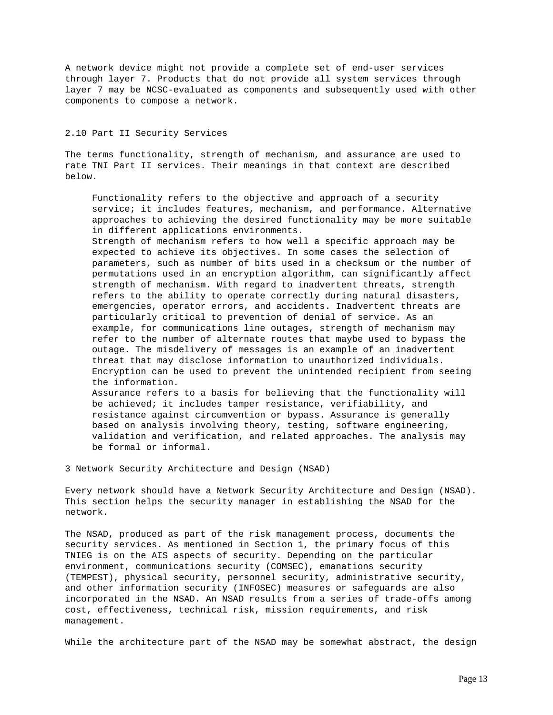A network device might not provide a complete set of end-user services through layer 7. Products that do not provide all system services through layer 7 may be NCSC-evaluated as components and subsequently used with other components to compose a network.

## 2.10 Part II Security Services

The terms functionality, strength of mechanism, and assurance are used to rate TNI Part II services. Their meanings in that context are described below.

 Functionality refers to the objective and approach of a security service; it includes features, mechanism, and performance. Alternative approaches to achieving the desired functionality may be more suitable in different applications environments.

 Strength of mechanism refers to how well a specific approach may be expected to achieve its objectives. In some cases the selection of parameters, such as number of bits used in a checksum or the number of permutations used in an encryption algorithm, can significantly affect strength of mechanism. With regard to inadvertent threats, strength refers to the ability to operate correctly during natural disasters, emergencies, operator errors, and accidents. Inadvertent threats are particularly critical to prevention of denial of service. As an example, for communications line outages, strength of mechanism may refer to the number of alternate routes that maybe used to bypass the outage. The misdelivery of messages is an example of an inadvertent threat that may disclose information to unauthorized individuals. Encryption can be used to prevent the unintended recipient from seeing the information. Assurance refers to a basis for believing that the functionality will be achieved; it includes tamper resistance, verifiability, and resistance against circumvention or bypass. Assurance is generally based on analysis involving theory, testing, software engineering, validation and verification, and related approaches. The analysis may

be formal or informal.

3 Network Security Architecture and Design (NSAD)

Every network should have a Network Security Architecture and Design (NSAD). This section helps the security manager in establishing the NSAD for the network.

The NSAD, produced as part of the risk management process, documents the security services. As mentioned in Section 1, the primary focus of this TNIEG is on the AIS aspects of security. Depending on the particular environment, communications security (COMSEC), emanations security (TEMPEST), physical security, personnel security, administrative security, and other information security (INFOSEC) measures or safeguards are also incorporated in the NSAD. An NSAD results from a series of trade-offs among cost, effectiveness, technical risk, mission requirements, and risk management.

While the architecture part of the NSAD may be somewhat abstract, the design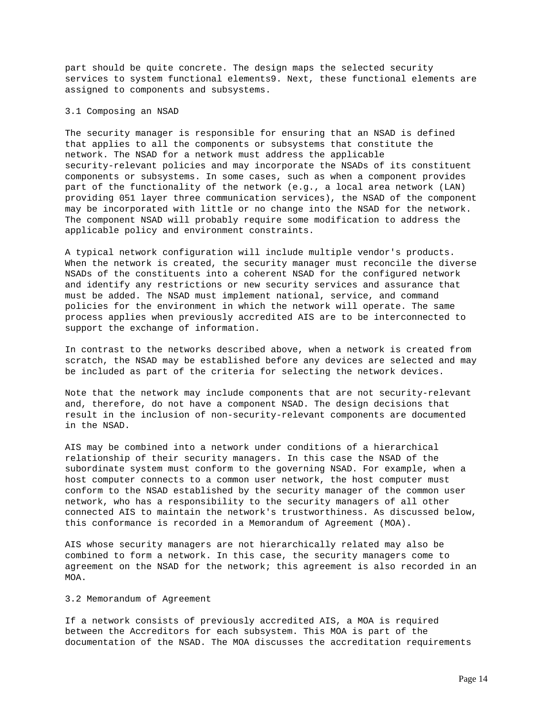part should be quite concrete. The design maps the selected security services to system functional elements9. Next, these functional elements are assigned to components and subsystems.

### 3.1 Composing an NSAD

The security manager is responsible for ensuring that an NSAD is defined that applies to all the components or subsystems that constitute the network. The NSAD for a network must address the applicable security-relevant policies and may incorporate the NSADs of its constituent components or subsystems. In some cases, such as when a component provides part of the functionality of the network (e.g., a local area network (LAN) providing 051 layer three communication services), the NSAD of the component may be incorporated with little or no change into the NSAD for the network. The component NSAD will probably require some modification to address the applicable policy and environment constraints.

A typical network configuration will include multiple vendor's products. When the network is created, the security manager must reconcile the diverse NSADs of the constituents into a coherent NSAD for the configured network and identify any restrictions or new security services and assurance that must be added. The NSAD must implement national, service, and command policies for the environment in which the network will operate. The same process applies when previously accredited AIS are to be interconnected to support the exchange of information.

In contrast to the networks described above, when a network is created from scratch, the NSAD may be established before any devices are selected and may be included as part of the criteria for selecting the network devices.

Note that the network may include components that are not security-relevant and, therefore, do not have a component NSAD. The design decisions that result in the inclusion of non-security-relevant components are documented in the NSAD.

AIS may be combined into a network under conditions of a hierarchical relationship of their security managers. In this case the NSAD of the subordinate system must conform to the governing NSAD. For example, when a host computer connects to a common user network, the host computer must conform to the NSAD established by the security manager of the common user network, who has a responsibility to the security managers of all other connected AIS to maintain the network's trustworthiness. As discussed below, this conformance is recorded in a Memorandum of Agreement (MOA).

AIS whose security managers are not hierarchically related may also be combined to form a network. In this case, the security managers come to agreement on the NSAD for the network; this agreement is also recorded in an MOA.

#### 3.2 Memorandum of Agreement

If a network consists of previously accredited AIS, a MOA is required between the Accreditors for each subsystem. This MOA is part of the documentation of the NSAD. The MOA discusses the accreditation requirements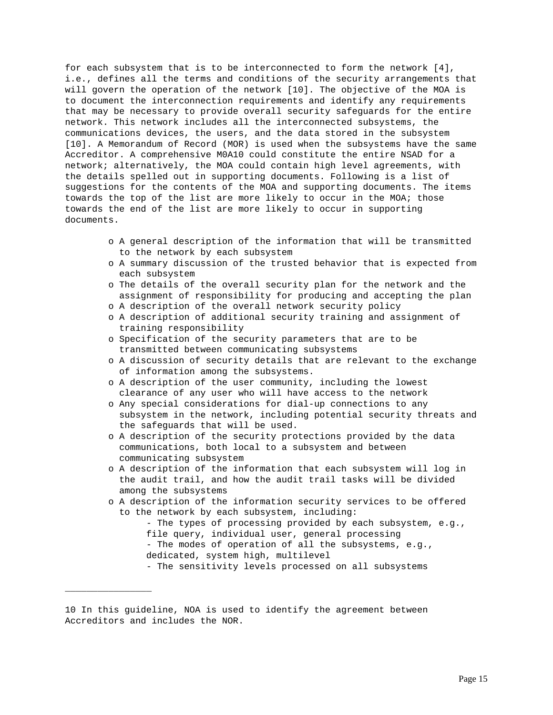for each subsystem that is to be interconnected to form the network [4], i.e., defines all the terms and conditions of the security arrangements that will govern the operation of the network [10]. The objective of the MOA is to document the interconnection requirements and identify any requirements that may be necessary to provide overall security safeguards for the entire network. This network includes all the interconnected subsystems, the communications devices, the users, and the data stored in the subsystem [10]. A Memorandum of Record (MOR) is used when the subsystems have the same Accreditor. A comprehensive M0A10 could constitute the entire NSAD for a network; alternatively, the MOA could contain high level agreements, with the details spelled out in supporting documents. Following is a list of suggestions for the contents of the MOA and supporting documents. The items towards the top of the list are more likely to occur in the MOA; those towards the end of the list are more likely to occur in supporting documents.

- o A general description of the information that will be transmitted to the network by each subsystem
- o A summary discussion of the trusted behavior that is expected from each subsystem
- o The details of the overall security plan for the network and the assignment of responsibility for producing and accepting the plan
- o A description of the overall network security policy
- o A description of additional security training and assignment of training responsibility
- o Specification of the security parameters that are to be transmitted between communicating subsystems
- o A discussion of security details that are relevant to the exchange of information among the subsystems.
- o A description of the user community, including the lowest clearance of any user who will have access to the network
- o Any special considerations for dial-up connections to any subsystem in the network, including potential security threats and the safeguards that will be used.
- o A description of the security protections provided by the data communications, both local to a subsystem and between communicating subsystem
- o A description of the information that each subsystem will log in the audit trail, and how the audit trail tasks will be divided among the subsystems
- o A description of the information security services to be offered to the network by each subsystem, including:
	- The types of processing provided by each subsystem, e.g., file query, individual user, general processing
	- The modes of operation of all the subsystems, e.g., dedicated, system high, multilevel
	- The sensitivity levels processed on all subsystems

\_\_\_\_\_\_\_\_\_\_\_\_\_\_\_\_

<sup>10</sup> In this guideline, NOA is used to identify the agreement between Accreditors and includes the NOR.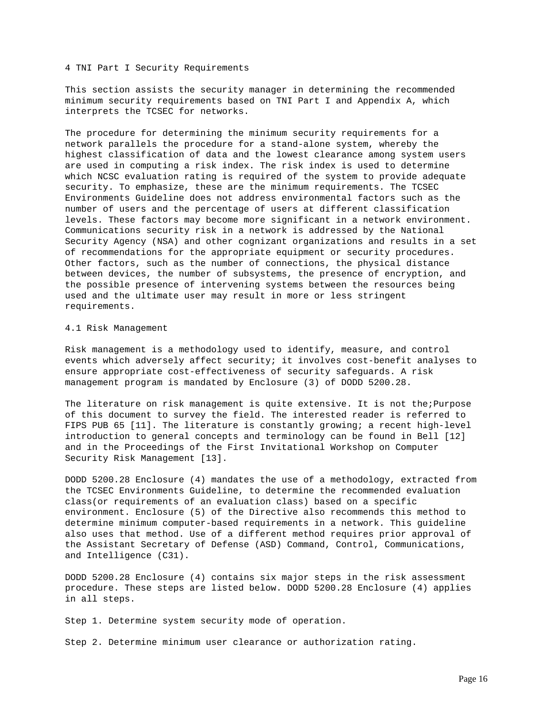#### 4 TNI Part I Security Requirements

This section assists the security manager in determining the recommended minimum security requirements based on TNI Part I and Appendix A, which interprets the TCSEC for networks.

The procedure for determining the minimum security requirements for a network parallels the procedure for a stand-alone system, whereby the highest classification of data and the lowest clearance among system users are used in computing a risk index. The risk index is used to determine which NCSC evaluation rating is required of the system to provide adequate security. To emphasize, these are the minimum requirements. The TCSEC Environments Guideline does not address environmental factors such as the number of users and the percentage of users at different classification levels. These factors may become more significant in a network environment. Communications security risk in a network is addressed by the National Security Agency (NSA) and other cognizant organizations and results in a set of recommendations for the appropriate equipment or security procedures. Other factors, such as the number of connections, the physical distance between devices, the number of subsystems, the presence of encryption, and the possible presence of intervening systems between the resources being used and the ultimate user may result in more or less stringent requirements.

### 4.1 Risk Management

Risk management is a methodology used to identify, measure, and control events which adversely affect security; it involves cost-benefit analyses to ensure appropriate cost-effectiveness of security safeguards. A risk management program is mandated by Enclosure (3) of DODD 5200.28.

The literature on risk management is quite extensive. It is not the; Purpose of this document to survey the field. The interested reader is referred to FIPS PUB 65 [11]. The literature is constantly growing; a recent high-level introduction to general concepts and terminology can be found in Bell [12] and in the Proceedings of the First Invitational Workshop on Computer Security Risk Management [13].

DODD 5200.28 Enclosure (4) mandates the use of a methodology, extracted from the TCSEC Environments Guideline, to determine the recommended evaluation class(or requirements of an evaluation class) based on a specific environment. Enclosure (5) of the Directive also recommends this method to determine minimum computer-based requirements in a network. This guideline also uses that method. Use of a different method requires prior approval of the Assistant Secretary of Defense (ASD) Command, Control, Communications, and Intelligence (C31).

DODD 5200.28 Enclosure (4) contains six major steps in the risk assessment procedure. These steps are listed below. DODD 5200.28 Enclosure (4) applies in all steps.

Step 1. Determine system security mode of operation.

Step 2. Determine minimum user clearance or authorization rating.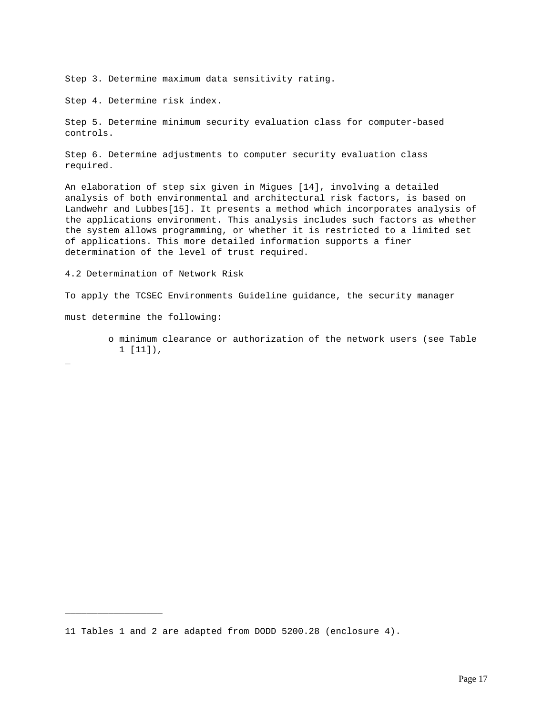Step 3. Determine maximum data sensitivity rating.

Step 4. Determine risk index.

Step 5. Determine minimum security evaluation class for computer-based controls.

Step 6. Determine adjustments to computer security evaluation class required.

An elaboration of step six given in Migues [14], involving a detailed analysis of both environmental and architectural risk factors, is based on Landwehr and Lubbes[15]. It presents a method which incorporates analysis of the applications environment. This analysis includes such factors as whether the system allows programming, or whether it is restricted to a limited set of applications. This more detailed information supports a finer determination of the level of trust required.

4.2 Determination of Network Risk

To apply the TCSEC Environments Guideline guidance, the security manager

must determine the following:

\_\_\_\_\_\_\_\_\_\_\_\_\_\_\_\_\_\_

 o minimum clearance or authorization of the network users (see Table 1 [11]),

\_

<sup>11</sup> Tables 1 and 2 are adapted from DODD 5200.28 (enclosure 4).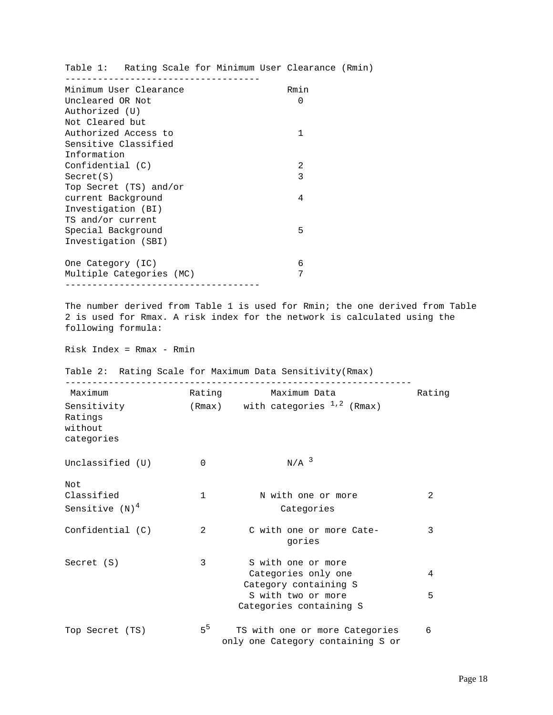|                          |                | Table 1: Rating Scale for Minimum User Clearance (Rmin)             |        |
|--------------------------|----------------|---------------------------------------------------------------------|--------|
| Minimum User Clearance   |                | Rmin                                                                |        |
| Uncleared OR Not         |                | 0                                                                   |        |
| Authorized (U)           |                |                                                                     |        |
| Not Cleared but          |                |                                                                     |        |
| Authorized Access to     |                | 1                                                                   |        |
| Sensitive Classified     |                |                                                                     |        |
| Information              |                |                                                                     |        |
| Confidential (C)         |                | 2                                                                   |        |
| Secret(S)                |                | 3                                                                   |        |
| Top Secret (TS) and/or   |                |                                                                     |        |
| current Background       |                | 4                                                                   |        |
| Investigation (BI)       |                |                                                                     |        |
| TS and/or current        |                |                                                                     |        |
| Special Background       |                | 5                                                                   |        |
| Investigation (SBI)      |                |                                                                     |        |
| One Category (IC)        |                | 6                                                                   |        |
| Multiple Categories (MC) |                | 7                                                                   |        |
|                          |                | Table 2: Rating Scale for Maximum Data Sensitivity (Rmax)           |        |
| Maximum                  |                | Rating Maximum Data                                                 | Rating |
| Sensitivity              |                | $(Rmax)$ with categories $1,2$ (Rmax)                               |        |
| Ratings                  |                |                                                                     |        |
| without                  |                |                                                                     |        |
| categories               |                |                                                                     |        |
| Unclassified (U)         | 0              | $N/A$ <sup>3</sup>                                                  |        |
| Not                      |                |                                                                     |        |
| Classified               | $\mathbf{1}$   | N with one or more                                                  | 2      |
| Sensitive $(N)^4$        |                | Categories                                                          |        |
| Confidential (C)         | 2              | C with one or more Cate-<br>gories                                  | 3      |
| Secret (S)               | 3              | S with one or more                                                  |        |
|                          |                | Categories only one                                                 | 4      |
|                          |                | Category containing S                                               |        |
|                          |                | S with two or more                                                  | 5      |
|                          |                | Categories containing S                                             |        |
| Top Secret (TS)          | 5 <sup>5</sup> | TS with one or more Categories<br>only one Category containing S or | 6      |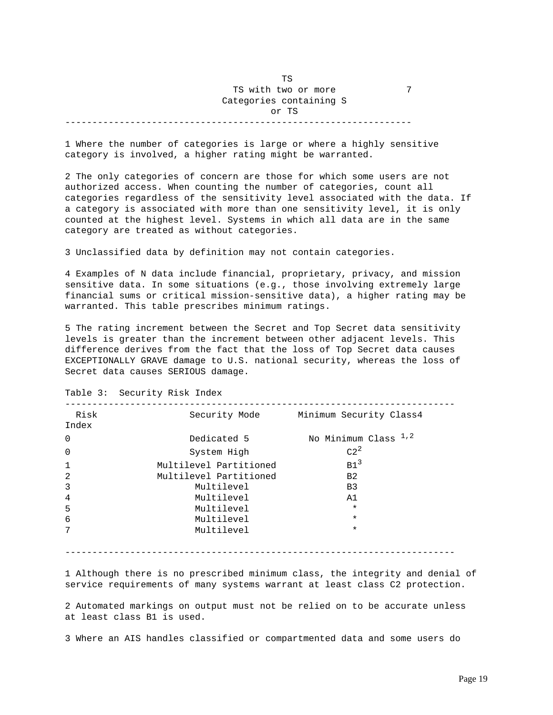# TS AND RESERVE TO A RESERVE TO A RESERVE TO A RESERVE TO A RESERVE TO A RESERVE TO A RESERVE TO A RESERVE TO A TS with two or more 7 Categories containing S or TS

----------------------------------------------------------------

1 Where the number of categories is large or where a highly sensitive category is involved, a higher rating might be warranted.

2 The only categories of concern are those for which some users are not authorized access. When counting the number of categories, count all categories regardless of the sensitivity level associated with the data. If a category is associated with more than one sensitivity level, it is only counted at the highest level. Systems in which all data are in the same category are treated as without categories.

3 Unclassified data by definition may not contain categories.

4 Examples of N data include financial, proprietary, privacy, and mission sensitive data. In some situations (e.g., those involving extremely large financial sums or critical mission-sensitive data), a higher rating may be warranted. This table prescribes minimum ratings.

5 The rating increment between the Secret and Top Secret data sensitivity levels is greater than the increment between other adjacent levels. This difference derives from the fact that the loss of Top Secret data causes EXCEPTIONALLY GRAVE damage to U.S. national security, whereas the loss of Secret data causes SERIOUS damage.

| Risk<br>Index  | Security Mode          | Minimum Security Class4 |
|----------------|------------------------|-------------------------|
|                |                        |                         |
| $\Omega$       | Dedicated 5            | No Minimum Class $1,2$  |
| $\Omega$       | System High            | $C2^2$                  |
| $\mathbf{1}$   | Multilevel Partitioned | B1 <sup>3</sup>         |
| 2              | Multilevel Partitioned | B <sub>2</sub>          |
| 3              | Multilevel             | B3                      |
| $\overline{4}$ | Multilevel             | A1                      |
| 5              | Multilevel             | $\star$                 |
| 6              | Multilevel             | $\star$                 |
| 7              | Multilevel             | $\star$                 |
|                |                        |                         |

Table 3: Security Risk Index

------------------------------------------------------------------------

1 Although there is no prescribed minimum class, the integrity and denial of service requirements of many systems warrant at least class C2 protection.

2 Automated markings on output must not be relied on to be accurate unless at least class B1 is used.

3 Where an AIS handles classified or compartmented data and some users do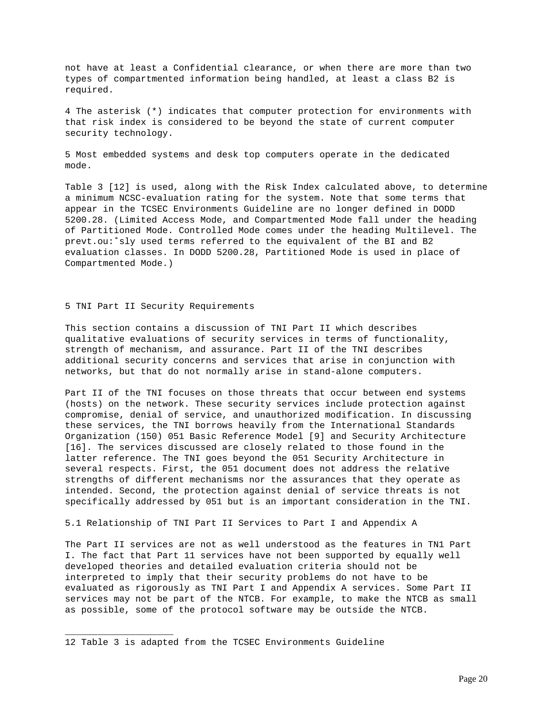not have at least a Confidential clearance, or when there are more than two types of compartmented information being handled, at least a class B2 is required.

4 The asterisk (\*) indicates that computer protection for environments with that risk index is considered to be beyond the state of current computer security technology.

5 Most embedded systems and desk top computers operate in the dedicated mode.

Table 3 [12] is used, along with the Risk Index calculated above, to determine a minimum NCSC-evaluation rating for the system. Note that some terms that appear in the TCSEC Environments Guideline are no longer defined in DODD 5200.28. (Limited Access Mode, and Compartmented Mode fall under the heading of Partitioned Mode. Controlled Mode comes under the heading Multilevel. The prevt.ou:˚sly used terms referred to the equivalent of the BI and B2 evaluation classes. In DODD 5200.28, Partitioned Mode is used in place of Compartmented Mode.)

5 TNI Part II Security Requirements

\_\_\_\_\_\_\_\_\_\_\_\_\_\_\_\_\_\_\_\_

This section contains a discussion of TNI Part II which describes qualitative evaluations of security services in terms of functionality, strength of mechanism, and assurance. Part II of the TNI describes additional security concerns and services that arise in conjunction with networks, but that do not normally arise in stand-alone computers.

Part II of the TNI focuses on those threats that occur between end systems (hosts) on the network. These security services include protection against compromise, denial of service, and unauthorized modification. In discussing these services, the TNI borrows heavily from the International Standards Organization (150) 051 Basic Reference Model [9] and Security Architecture [16]. The services discussed are closely related to those found in the latter reference. The TNI goes beyond the 051 Security Architecture in several respects. First, the 051 document does not address the relative strengths of different mechanisms nor the assurances that they operate as intended. Second, the protection against denial of service threats is not specifically addressed by 051 but is an important consideration in the TNI.

5.1 Relationship of TNI Part II Services to Part I and Appendix A

The Part II services are not as well understood as the features in TN1 Part I. The fact that Part 11 services have not been supported by equally well developed theories and detailed evaluation criteria should not be interpreted to imply that their security problems do not have to be evaluated as rigorously as TNI Part I and Appendix A services. Some Part II services may not be part of the NTCB. For example, to make the NTCB as small as possible, some of the protocol software may be outside the NTCB.

<sup>12</sup> Table 3 is adapted from the TCSEC Environments Guideline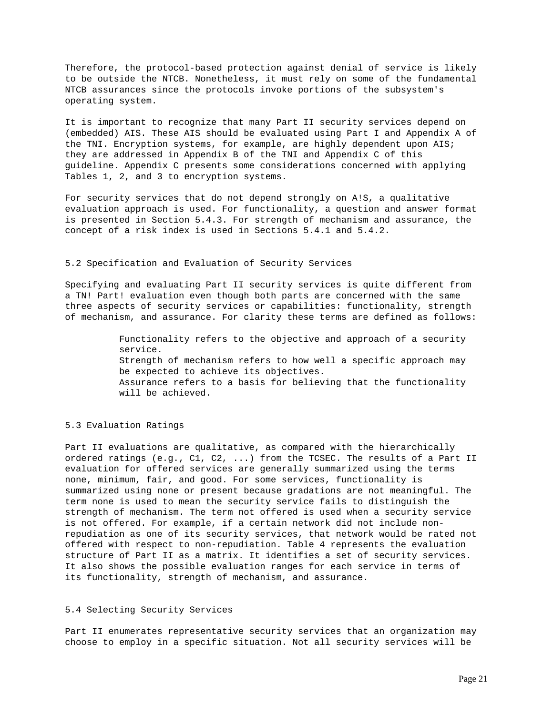Therefore, the protocol-based protection against denial of service is likely to be outside the NTCB. Nonetheless, it must rely on some of the fundamental NTCB assurances since the protocols invoke portions of the subsystem's operating system.

It is important to recognize that many Part II security services depend on (embedded) AIS. These AIS should be evaluated using Part I and Appendix A of the TNI. Encryption systems, for example, are highly dependent upon AIS; they are addressed in Appendix B of the TNI and Appendix C of this guideline. Appendix C presents some considerations concerned with applying Tables 1, 2, and 3 to encryption systems.

For security services that do not depend strongly on A!S, a qualitative evaluation approach is used. For functionality, a question and answer format is presented in Section 5.4.3. For strength of mechanism and assurance, the concept of a risk index is used in Sections 5.4.1 and 5.4.2.

## 5.2 Specification and Evaluation of Security Services

Specifying and evaluating Part II security services is quite different from a TN! Part! evaluation even though both parts are concerned with the same three aspects of security services or capabilities: functionality, strength of mechanism, and assurance. For clarity these terms are defined as follows:

> Functionality refers to the objective and approach of a security service. Strength of mechanism refers to how well a specific approach may be expected to achieve its objectives. Assurance refers to a basis for believing that the functionality will be achieved.

### 5.3 Evaluation Ratings

Part II evaluations are qualitative, as compared with the hierarchically ordered ratings (e.g., C1, C2, ...) from the TCSEC. The results of a Part II evaluation for offered services are generally summarized using the terms none, minimum, fair, and good. For some services, functionality is summarized using none or present because gradations are not meaningful. The term none is used to mean the security service fails to distinguish the strength of mechanism. The term not offered is used when a security service is not offered. For example, if a certain network did not include nonrepudiation as one of its security services, that network would be rated not offered with respect to non-repudiation. Table 4 represents the evaluation structure of Part II as a matrix. It identifies a set of security services. It also shows the possible evaluation ranges for each service in terms of its functionality, strength of mechanism, and assurance.

## 5.4 Selecting Security Services

Part II enumerates representative security services that an organization may choose to employ in a specific situation. Not all security services will be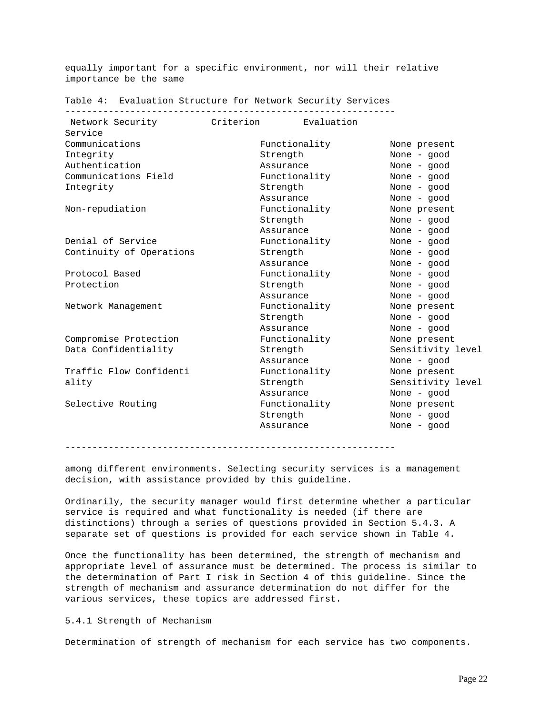equally important for a specific environment, nor will their relative importance be the same

------------------------------------------------------------- Network Security Criterion Evaluation Service Communications Functionality Communications Functionality None present<br>
Integrity Strength None - good<br>
Authentication Assurance None - good Authentication assurance None - good<br>
Communications Field Functionality None - good<br>
Functionality None - good Communications Field Integrity **Strength** Strength None - good Assurance None - good Non-repudiation Functionality None present Strength None - good Assurance None - good Denial of Service Functionality Continuity of Operations Strength None - good Assurance None - good Protocol Based Functionality None - good Protection Strength Strength None - good Assurance None - good Network Management **Functionality** None present Strength None - good Assurance None - good Compromise Protection Data Confidentiality  $S$  Strength  $S$ ensitivity level Assurance None - good<br>
Functionality None present Traffic Flow Confidenti ality **Strength** Strength Sensitivity level Assurance None - good Selective Routing Functionality Strength None - good Assurance None - good

Table 4: Evaluation Structure for Network Security Services

-------------------------------------------------------------

among different environments. Selecting security services is a management decision, with assistance provided by this guideline.

Ordinarily, the security manager would first determine whether a particular service is required and what functionality is needed (if there are distinctions) through a series of questions provided in Section 5.4.3. A separate set of questions is provided for each service shown in Table 4.

Once the functionality has been determined, the strength of mechanism and appropriate level of assurance must be determined. The process is similar to the determination of Part I risk in Section 4 of this guideline. Since the strength of mechanism and assurance determination do not differ for the various services, these topics are addressed first.

## 5.4.1 Strength of Mechanism

Determination of strength of mechanism for each service has two components.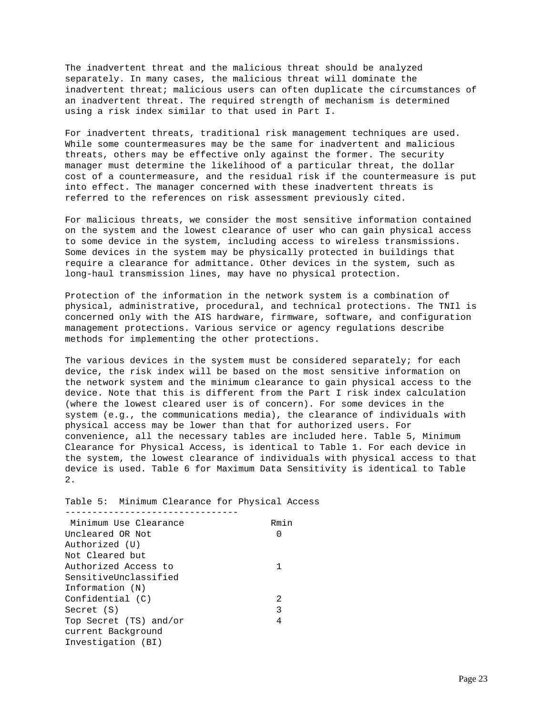The inadvertent threat and the malicious threat should be analyzed separately. In many cases, the malicious threat will dominate the inadvertent threat; malicious users can often duplicate the circumstances of an inadvertent threat. The required strength of mechanism is determined using a risk index similar to that used in Part I.

For inadvertent threats, traditional risk management techniques are used. While some countermeasures may be the same for inadvertent and malicious threats, others may be effective only against the former. The security manager must determine the likelihood of a particular threat, the dollar cost of a countermeasure, and the residual risk if the countermeasure is put into effect. The manager concerned with these inadvertent threats is referred to the references on risk assessment previously cited.

For malicious threats, we consider the most sensitive information contained on the system and the lowest clearance of user who can gain physical access to some device in the system, including access to wireless transmissions. Some devices in the system may be physically protected in buildings that require a clearance for admittance. Other devices in the system, such as long-haul transmission lines, may have no physical protection.

Protection of the information in the network system is a combination of physical, administrative, procedural, and technical protections. The TNIl is concerned only with the AIS hardware, firmware, software, and configuration management protections. Various service or agency regulations describe methods for implementing the other protections.

The various devices in the system must be considered separately; for each device, the risk index will be based on the most sensitive information on the network system and the minimum clearance to gain physical access to the device. Note that this is different from the Part I risk index calculation (where the lowest cleared user is of concern). For some devices in the system (e.g., the communications media), the clearance of individuals with physical access may be lower than that for authorized users. For convenience, all the necessary tables are included here. Table 5, Minimum Clearance for Physical Access, is identical to Table 1. For each device in the system, the lowest clearance of individuals with physical access to that device is used. Table 6 for Maximum Data Sensitivity is identical to Table  $2.$ 

Table 5: Minimum Clearance for Physical Access

| Minimum Use Clearance  | Rmin |
|------------------------|------|
| Uncleared OR Not       |      |
| Authorized (U)         |      |
| Not Cleared but        |      |
| Authorized Access to   |      |
| SensitiveUnclassified  |      |
| Information (N)        |      |
| Confidential (C)       | 2    |
| Secret (S)             | 3    |
| Top Secret (TS) and/or | 4    |
| current Background     |      |
| Investigation (BI)     |      |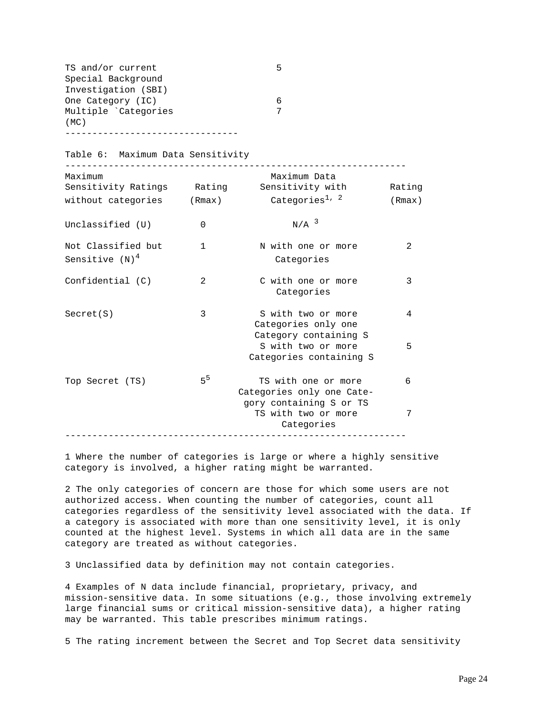| TS and/or current   |  |
|---------------------|--|
| Special Background  |  |
| Investigation (SBI) |  |
| One Category (IC)   |  |
| Multiple Categories |  |
| (MC)                |  |
|                     |  |

Table 6: Maximum Data Sensitivity

| without categories | Maximum Data<br>Categories $^{1, 2}$             | Rating<br>(Rmax)                                                                                            |
|--------------------|--------------------------------------------------|-------------------------------------------------------------------------------------------------------------|
| $\Omega$           | $N/A$ <sup>3</sup>                               |                                                                                                             |
| $\mathbf{1}$       | N with one or more<br>Categories                 | $\mathfrak{D}$                                                                                              |
| 2                  | C with one or more<br>Categories                 | 3                                                                                                           |
| 3                  | S with two or more<br>Categories only one        | 4                                                                                                           |
|                    | S with two or more<br>Categories containing S    | 5                                                                                                           |
| $5^5$              | TS with one or more<br>Categories only one Cate- | 6                                                                                                           |
|                    | TS with two or more<br>Categories                | 7                                                                                                           |
|                    |                                                  | Sensitivity Ratings a Rating Sensitivity with<br>(Rmax)<br>Category containing S<br>gory containing S or TS |

1 Where the number of categories is large or where a highly sensitive category is involved, a higher rating might be warranted.

2 The only categories of concern are those for which some users are not authorized access. When counting the number of categories, count all categories regardless of the sensitivity level associated with the data. If a category is associated with more than one sensitivity level, it is only counted at the highest level. Systems in which all data are in the same category are treated as without categories.

3 Unclassified data by definition may not contain categories.

4 Examples of N data include financial, proprietary, privacy, and mission-sensitive data. In some situations (e.g., those involving extremely large financial sums or critical mission-sensitive data), a higher rating may be warranted. This table prescribes minimum ratings.

5 The rating increment between the Secret and Top Secret data sensitivity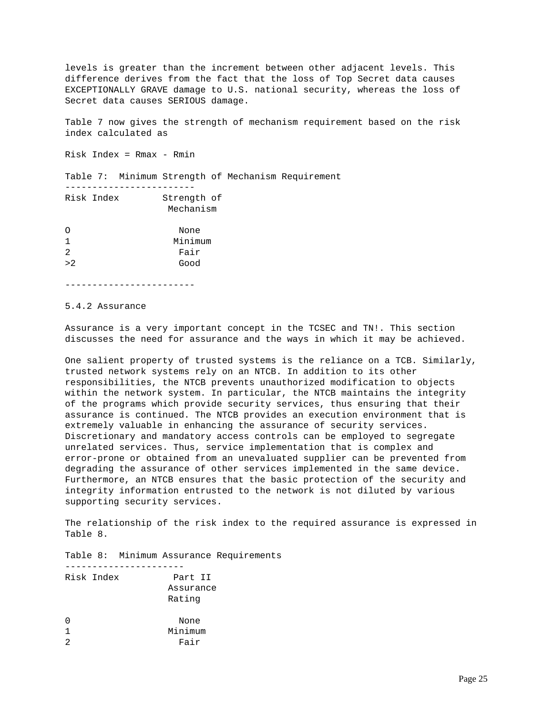levels is greater than the increment between other adjacent levels. This difference derives from the fact that the loss of Top Secret data causes EXCEPTIONALLY GRAVE damage to U.S. national security, whereas the loss of Secret data causes SERIOUS damage.

Table 7 now gives the strength of mechanism requirement based on the risk index calculated as

Risk Index = Rmax - Rmin

------------------------

Table 7: Minimum Strength of Mechanism Requirement

| Risk Index     | Strength of<br>Mechanism |
|----------------|--------------------------|
| Ω              | None                     |
| 1              | Minimum                  |
| $\mathfrak{D}$ | Fair                     |
| >2             | Good                     |
|                |                          |

------------------------

### 5.4.2 Assurance

Assurance is a very important concept in the TCSEC and TN!. This section discusses the need for assurance and the ways in which it may be achieved.

One salient property of trusted systems is the reliance on a TCB. Similarly, trusted network systems rely on an NTCB. In addition to its other responsibilities, the NTCB prevents unauthorized modification to objects within the network system. In particular, the NTCB maintains the integrity of the programs which provide security services, thus ensuring that their assurance is continued. The NTCB provides an execution environment that is extremely valuable in enhancing the assurance of security services. Discretionary and mandatory access controls can be employed to segregate unrelated services. Thus, service implementation that is complex and error-prone or obtained from an unevaluated supplier can be prevented from degrading the assurance of other services implemented in the same device. Furthermore, an NTCB ensures that the basic protection of the security and integrity information entrusted to the network is not diluted by various supporting security services.

The relationship of the risk index to the required assurance is expressed in Table 8.

Table 8: Minimum Assurance Requirements

|   | Risk Index | Part II   |
|---|------------|-----------|
|   |            | Assurance |
|   |            | Rating    |
| O |            | None      |
|   |            | Minimum   |
|   |            | Fair      |
|   |            |           |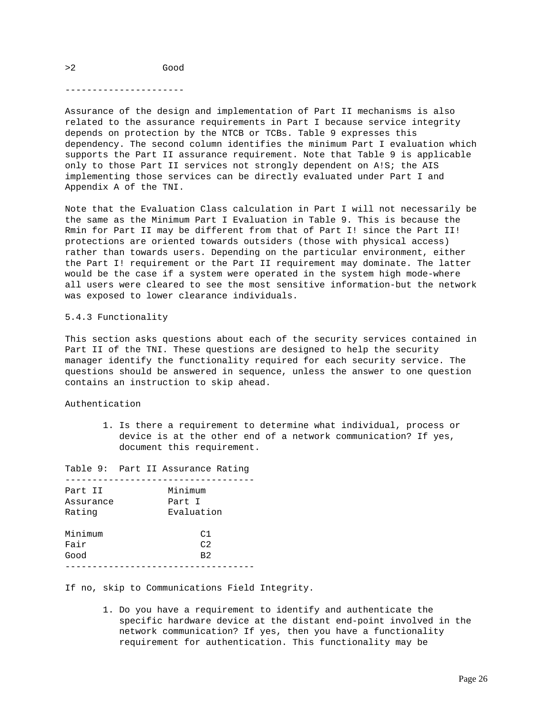## >2 Good

----------------------

Assurance of the design and implementation of Part II mechanisms is also related to the assurance requirements in Part I because service integrity depends on protection by the NTCB or TCBs. Table 9 expresses this dependency. The second column identifies the minimum Part I evaluation which supports the Part II assurance requirement. Note that Table 9 is applicable only to those Part II services not strongly dependent on A!S; the AIS implementing those services can be directly evaluated under Part I and Appendix A of the TNI.

Note that the Evaluation Class calculation in Part I will not necessarily be the same as the Minimum Part I Evaluation in Table 9. This is because the Rmin for Part II may be different from that of Part I! since the Part II! protections are oriented towards outsiders (those with physical access) rather than towards users. Depending on the particular environment, either the Part I! requirement or the Part II requirement may dominate. The latter would be the case if a system were operated in the system high mode-where all users were cleared to see the most sensitive information-but the network was exposed to lower clearance individuals.

5.4.3 Functionality

This section asks questions about each of the security services contained in Part II of the TNI. These questions are designed to help the security manager identify the functionality required for each security service. The questions should be answered in sequence, unless the answer to one question contains an instruction to skip ahead.

Authentication

 1. Is there a requirement to determine what individual, process or device is at the other end of a network communication? If yes, document this requirement.

Table 9: Part II Assurance Rating ----------------------------------- Part II Minimum Assurance Part I Rating Evaluation Minimum C1 Fair C2 Good B2 -----------------------------------

If no, skip to Communications Field Integrity.

 1. Do you have a requirement to identify and authenticate the specific hardware device at the distant end-point involved in the network communication? If yes, then you have a functionality requirement for authentication. This functionality may be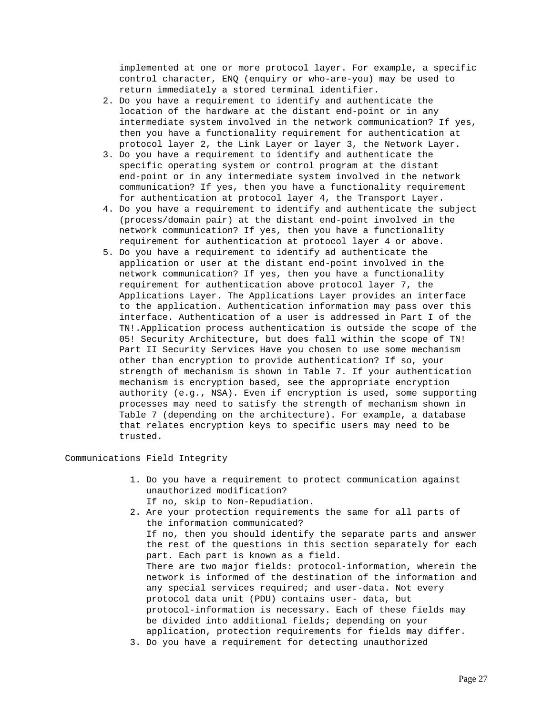implemented at one or more protocol layer. For example, a specific control character, ENQ (enquiry or who-are-you) may be used to return immediately a stored terminal identifier.

- 2. Do you have a requirement to identify and authenticate the location of the hardware at the distant end-point or in any intermediate system involved in the network communication? If yes, then you have a functionality requirement for authentication at protocol layer 2, the Link Layer or layer 3, the Network Layer.
- 3. Do you have a requirement to identify and authenticate the specific operating system or control program at the distant end-point or in any intermediate system involved in the network communication? If yes, then you have a functionality requirement for authentication at protocol layer 4, the Transport Layer.
- 4. Do you have a requirement to identify and authenticate the subject (process/domain pair) at the distant end-point involved in the network communication? If yes, then you have a functionality requirement for authentication at protocol layer 4 or above.
- 5. Do you have a requirement to identify ad authenticate the application or user at the distant end-point involved in the network communication? If yes, then you have a functionality requirement for authentication above protocol layer 7, the Applications Layer. The Applications Layer provides an interface to the application. Authentication information may pass over this interface. Authentication of a user is addressed in Part I of the TN!.Application process authentication is outside the scope of the 05! Security Architecture, but does fall within the scope of TN! Part II Security Services Have you chosen to use some mechanism other than encryption to provide authentication? If so, your strength of mechanism is shown in Table 7. If your authentication mechanism is encryption based, see the appropriate encryption authority (e.g., NSA). Even if encryption is used, some supporting processes may need to satisfy the strength of mechanism shown in Table 7 (depending on the architecture). For example, a database that relates encryption keys to specific users may need to be trusted.

Communications Field Integrity

- 1. Do you have a requirement to protect communication against unauthorized modification?
	- If no, skip to Non-Repudiation.
- 2. Are your protection requirements the same for all parts of the information communicated? If no, then you should identify the separate parts and answer the rest of the questions in this section separately for each part. Each part is known as a field. There are two major fields: protocol-information, wherein the network is informed of the destination of the information and any special services required; and user-data. Not every protocol data unit (PDU) contains user- data, but protocol-information is necessary. Each of these fields may be divided into additional fields; depending on your application, protection requirements for fields may differ. 3. Do you have a requirement for detecting unauthorized
	- Page 27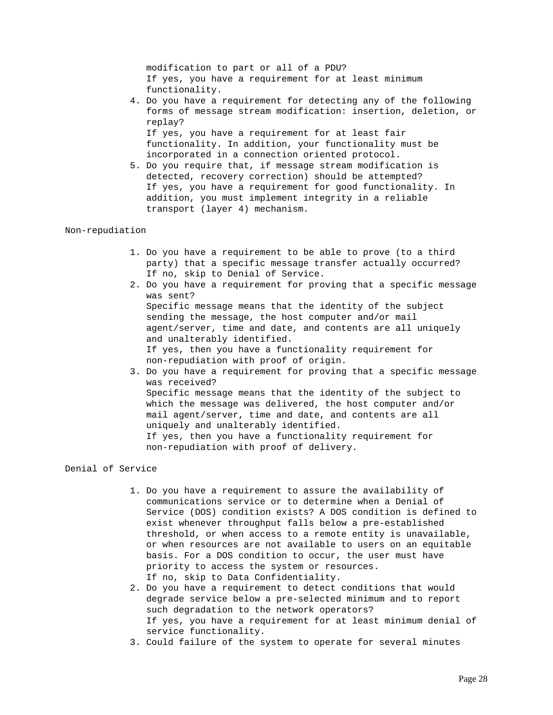modification to part or all of a PDU? If yes, you have a requirement for at least minimum functionality.

 4. Do you have a requirement for detecting any of the following forms of message stream modification: insertion, deletion, or replay? If yes, you have a requirement for at least fair

 functionality. In addition, your functionality must be incorporated in a connection oriented protocol.

 5. Do you require that, if message stream modification is detected, recovery correction) should be attempted? If yes, you have a requirement for good functionality. In addition, you must implement integrity in a reliable transport (layer 4) mechanism.

## Non-repudiation

- 1. Do you have a requirement to be able to prove (to a third party) that a specific message transfer actually occurred? If no, skip to Denial of Service.
- 2. Do you have a requirement for proving that a specific message was sent? Specific message means that the identity of the subject sending the message, the host computer and/or mail agent/server, time and date, and contents are all uniquely and unalterably identified. If yes, then you have a functionality requirement for non-repudiation with proof of origin. 3. Do you have a requirement for proving that a specific message was received?

 Specific message means that the identity of the subject to which the message was delivered, the host computer and/or mail agent/server, time and date, and contents are all uniquely and unalterably identified. If yes, then you have a functionality requirement for non-repudiation with proof of delivery.

## Denial of Service

- 1. Do you have a requirement to assure the availability of communications service or to determine when a Denial of Service (DOS) condition exists? A DOS condition is defined to exist whenever throughput falls below a pre-established threshold, or when access to a remote entity is unavailable, or when resources are not available to users on an equitable basis. For a DOS condition to occur, the user must have priority to access the system or resources. If no, skip to Data Confidentiality.
- 2. Do you have a requirement to detect conditions that would degrade service below a pre-selected minimum and to report such degradation to the network operators? If yes, you have a requirement for at least minimum denial of service functionality.
- 3. Could failure of the system to operate for several minutes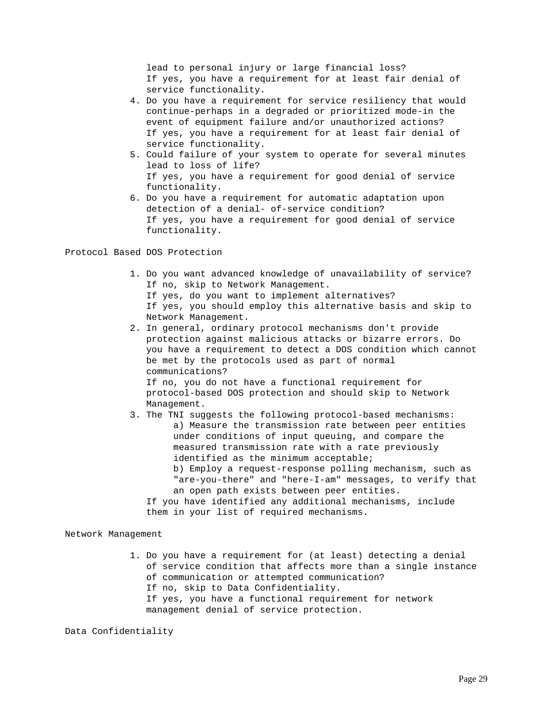lead to personal injury or large financial loss? If yes, you have a requirement for at least fair denial of service functionality.

- 4. Do you have a requirement for service resiliency that would continue-perhaps in a degraded or prioritized mode-in the event of equipment failure and/or unauthorized actions? If yes, you have a requirement for at least fair denial of service functionality.
- 5. Could failure of your system to operate for several minutes lead to loss of life? If yes, you have a requirement for good denial of service functionality.
- 6. Do you have a requirement for automatic adaptation upon detection of a denial- of-service condition? If yes, you have a requirement for good denial of service functionality.

Protocol Based DOS Protection

- 1. Do you want advanced knowledge of unavailability of service? If no, skip to Network Management.
	- If yes, do you want to implement alternatives?
	- If yes, you should employ this alternative basis and skip to Network Management.
- 2. In general, ordinary protocol mechanisms don't provide protection against malicious attacks or bizarre errors. Do you have a requirement to detect a DOS condition which cannot be met by the protocols used as part of normal communications? If no, you do not have a functional requirement for

 protocol-based DOS protection and should skip to Network Management.

- 3. The TNI suggests the following protocol-based mechanisms: a) Measure the transmission rate between peer entities under conditions of input queuing, and compare the measured transmission rate with a rate previously identified as the minimum acceptable; b) Employ a request-response polling mechanism, such as
	- "are-you-there" and "here-I-am" messages, to verify that an open path exists between peer entities.

 If you have identified any additional mechanisms, include them in your list of required mechanisms.

Network Management

- 1. Do you have a requirement for (at least) detecting a denial of service condition that affects more than a single instance of communication or attempted communication?
	- If no, skip to Data Confidentiality.
	- If yes, you have a functional requirement for network management denial of service protection.

Data Confidentiality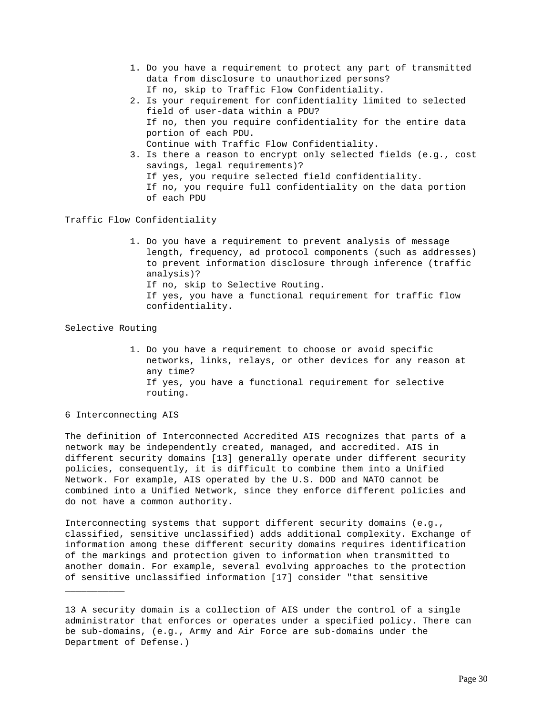- 1. Do you have a requirement to protect any part of transmitted data from disclosure to unauthorized persons? If no, skip to Traffic Flow Confidentiality.
- 2. Is your requirement for confidentiality limited to selected field of user-data within a PDU? If no, then you require confidentiality for the entire data portion of each PDU. Continue with Traffic Flow Confidentiality.
- 3. Is there a reason to encrypt only selected fields (e.g., cost savings, legal requirements)? If yes, you require selected field confidentiality. If no, you require full confidentiality on the data portion of each PDU

Traffic Flow Confidentiality

 1. Do you have a requirement to prevent analysis of message length, frequency, ad protocol components (such as addresses) to prevent information disclosure through inference (traffic analysis)? If no, skip to Selective Routing. If yes, you have a functional requirement for traffic flow confidentiality.

Selective Routing

 1. Do you have a requirement to choose or avoid specific networks, links, relays, or other devices for any reason at any time? If yes, you have a functional requirement for selective routing.

6 Interconnecting AIS

\_\_\_\_\_\_\_\_\_\_\_

The definition of Interconnected Accredited AIS recognizes that parts of a network may be independently created, managed, and accredited. AIS in different security domains [13] generally operate under different security policies, consequently, it is difficult to combine them into a Unified Network. For example, AIS operated by the U.S. DOD and NATO cannot be combined into a Unified Network, since they enforce different policies and do not have a common authority.

Interconnecting systems that support different security domains (e.g., classified, sensitive unclassified) adds additional complexity. Exchange of information among these different security domains requires identification of the markings and protection given to information when transmitted to another domain. For example, several evolving approaches to the protection of sensitive unclassified information [17] consider "that sensitive

<sup>13</sup> A security domain is a collection of AIS under the control of a single administrator that enforces or operates under a specified policy. There can be sub-domains, (e.g., Army and Air Force are sub-domains under the Department of Defense.)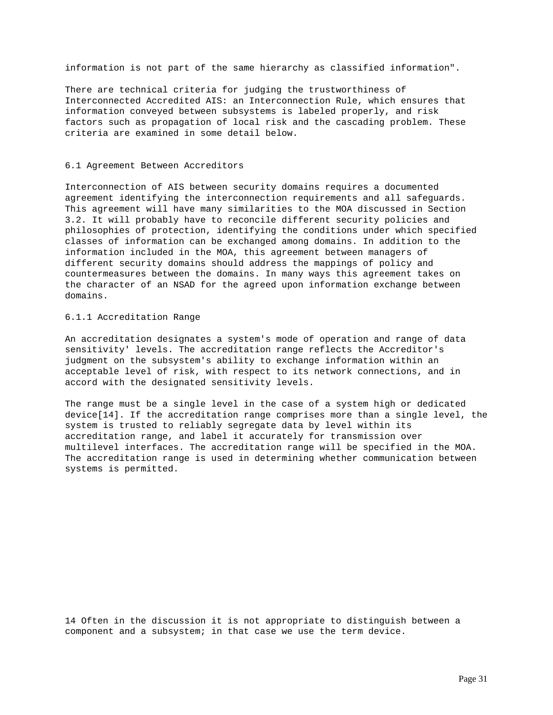information is not part of the same hierarchy as classified information".

There are technical criteria for judging the trustworthiness of Interconnected Accredited AIS: an Interconnection Rule, which ensures that information conveyed between subsystems is labeled properly, and risk factors such as propagation of local risk and the cascading problem. These criteria are examined in some detail below.

### 6.1 Agreement Between Accreditors

Interconnection of AIS between security domains requires a documented agreement identifying the interconnection requirements and all safeguards. This agreement will have many similarities to the MOA discussed in Section 3.2. It will probably have to reconcile different security policies and philosophies of protection, identifying the conditions under which specified classes of information can be exchanged among domains. In addition to the information included in the MOA, this agreement between managers of different security domains should address the mappings of policy and countermeasures between the domains. In many ways this agreement takes on the character of an NSAD for the agreed upon information exchange between domains.

## 6.1.1 Accreditation Range

An accreditation designates a system's mode of operation and range of data sensitivity' levels. The accreditation range reflects the Accreditor's judgment on the subsystem's ability to exchange information within an acceptable level of risk, with respect to its network connections, and in accord with the designated sensitivity levels.

The range must be a single level in the case of a system high or dedicated device[14]. If the accreditation range comprises more than a single level, the system is trusted to reliably segregate data by level within its accreditation range, and label it accurately for transmission over multilevel interfaces. The accreditation range will be specified in the MOA. The accreditation range is used in determining whether communication between systems is permitted.

14 Often in the discussion it is not appropriate to distinguish between a component and a subsystem; in that case we use the term device.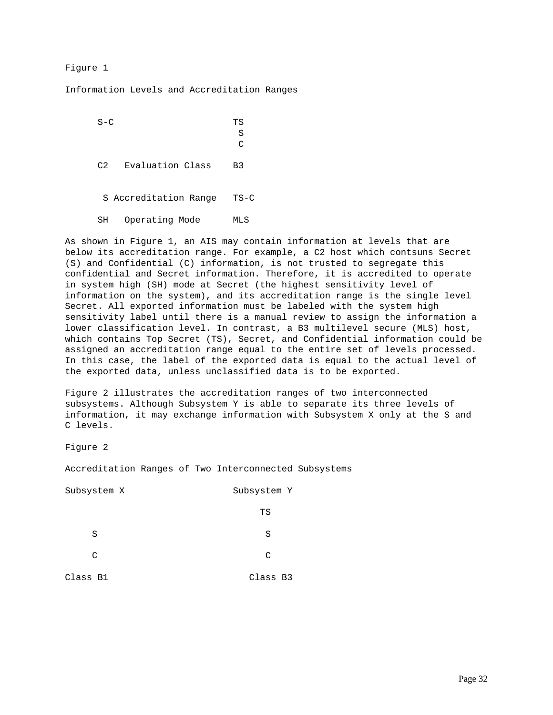## Figure 1

Information Levels and Accreditation Ranges

S-C TS S **C**  C2 Evaluation Class B3 S Accreditation Range TS-C SH Operating Mode MLS

As shown in Figure 1, an AIS may contain information at levels that are below its accreditation range. For example, a C2 host which contsuns Secret (S) and Confidential (C) information, is not trusted to segregate this confidential and Secret information. Therefore, it is accredited to operate in system high (SH) mode at Secret (the highest sensitivity level of information on the system), and its accreditation range is the single level Secret. All exported information must be labeled with the system high sensitivity label until there is a manual review to assign the information a lower classification level. In contrast, a B3 multilevel secure (MLS) host, which contains Top Secret (TS), Secret, and Confidential information could be assigned an accreditation range equal to the entire set of levels processed. In this case, the label of the exported data is equal to the actual level of the exported data, unless unclassified data is to be exported.

Figure 2 illustrates the accreditation ranges of two interconnected subsystems. Although Subsystem Y is able to separate its three levels of information, it may exchange information with Subsystem X only at the S and C levels.

Figure 2

Accreditation Ranges of Two Interconnected Subsystems

| Subsystem X | Subsystem Y |
|-------------|-------------|
|             | TS          |
| S           | S           |
| C           | C           |
| Class B1    | Class B3    |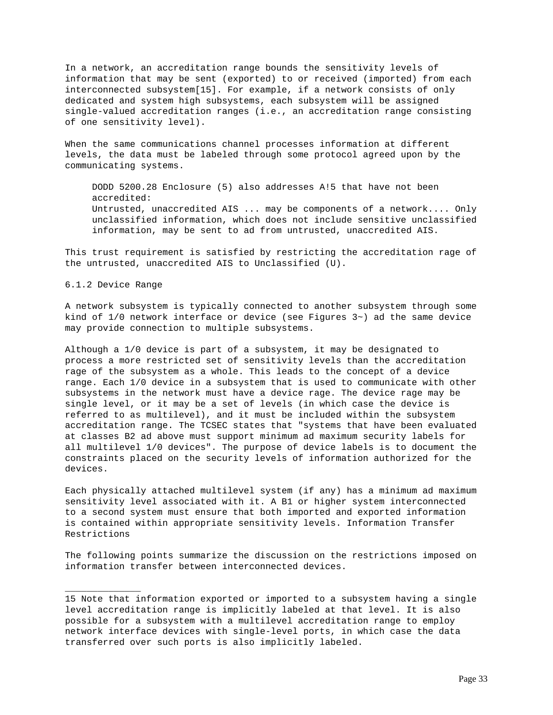In a network, an accreditation range bounds the sensitivity levels of information that may be sent (exported) to or received (imported) from each interconnected subsystem[15]. For example, if a network consists of only dedicated and system high subsystems, each subsystem will be assigned single-valued accreditation ranges (i.e., an accreditation range consisting of one sensitivity level).

When the same communications channel processes information at different levels, the data must be labeled through some protocol agreed upon by the communicating systems.

 DODD 5200.28 Enclosure (5) also addresses A!5 that have not been accredited: Untrusted, unaccredited AIS ... may be components of a network.... Only unclassified information, which does not include sensitive unclassified information, may be sent to ad from untrusted, unaccredited AIS.

This trust requirement is satisfied by restricting the accreditation rage of the untrusted, unaccredited AIS to Unclassified (U).

6.1.2 Device Range

\_\_\_\_\_\_\_\_\_\_\_\_\_\_

A network subsystem is typically connected to another subsystem through some kind of  $1/0$  network interface or device (see Figures  $3\sim$ ) ad the same device may provide connection to multiple subsystems.

Although a 1/0 device is part of a subsystem, it may be designated to process a more restricted set of sensitivity levels than the accreditation rage of the subsystem as a whole. This leads to the concept of a device range. Each 1/0 device in a subsystem that is used to communicate with other subsystems in the network must have a device rage. The device rage may be single level, or it may be a set of levels (in which case the device is referred to as multilevel), and it must be included within the subsystem accreditation range. The TCSEC states that "systems that have been evaluated at classes B2 ad above must support minimum ad maximum security labels for all multilevel 1/0 devices". The purpose of device labels is to document the constraints placed on the security levels of information authorized for the devices.

Each physically attached multilevel system (if any) has a minimum ad maximum sensitivity level associated with it. A B1 or higher system interconnected to a second system must ensure that both imported and exported information is contained within appropriate sensitivity levels. Information Transfer Restrictions

The following points summarize the discussion on the restrictions imposed on information transfer between interconnected devices.

<sup>15</sup> Note that information exported or imported to a subsystem having a single level accreditation range is implicitly labeled at that level. It is also possible for a subsystem with a multilevel accreditation range to employ network interface devices with single-level ports, in which case the data transferred over such ports is also implicitly labeled.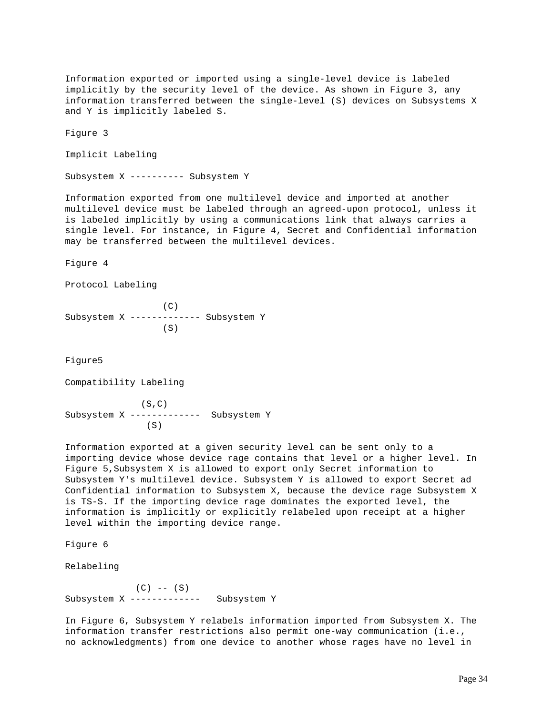Information exported or imported using a single-level device is labeled implicitly by the security level of the device. As shown in Figure 3, any information transferred between the single-level (S) devices on Subsystems X and Y is implicitly labeled S.

Figure 3

Implicit Labeling

Subsystem X ---------- Subsystem Y

Information exported from one multilevel device and imported at another multilevel device must be labeled through an agreed-upon protocol, unless it is labeled implicitly by using a communications link that always carries a single level. For instance, in Figure 4, Secret and Confidential information may be transferred between the multilevel devices.

Figure 4

Protocol Labeling

 (C) Subsystem X ------------- Subsystem Y (S)

Figure5

Compatibility Labeling

 (S,C) Subsystem X ------------- Subsystem Y (S)

Information exported at a given security level can be sent only to a importing device whose device rage contains that level or a higher level. In Figure 5,Subsystem X is allowed to export only Secret information to Subsystem Y's multilevel device. Subsystem Y is allowed to export Secret ad Confidential information to Subsystem X, because the device rage Subsystem X is TS-S. If the importing device rage dominates the exported level, the information is implicitly or explicitly relabeled upon receipt at a higher level within the importing device range.

Figure 6

Relabeling

 $(C)$  --  $(S)$ Subsystem X ------------- Subsystem Y

In Figure 6, Subsystem Y relabels information imported from Subsystem X. The information transfer restrictions also permit one-way communication (i.e., no acknowledgments) from one device to another whose rages have no level in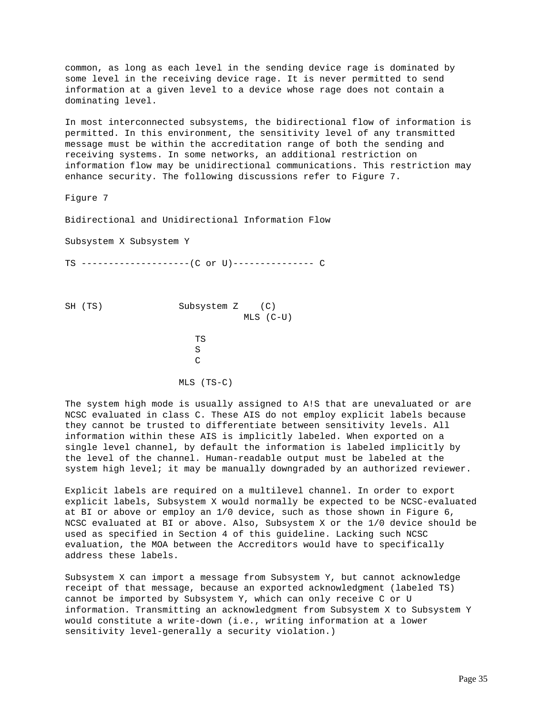common, as long as each level in the sending device rage is dominated by some level in the receiving device rage. It is never permitted to send information at a given level to a device whose rage does not contain a dominating level.

In most interconnected subsystems, the bidirectional flow of information is permitted. In this environment, the sensitivity level of any transmitted message must be within the accreditation range of both the sending and receiving systems. In some networks, an additional restriction on information flow may be unidirectional communications. This restriction may enhance security. The following discussions refer to Figure 7.

Figure 7

Bidirectional and Unidirectional Information Flow

Subsystem X Subsystem Y

TS --------------------(C or U)--------------- C

SH (TS) Subsystem Z (C) MLS (C-U) **TS** THE RESERVE TS S **C** C MLS (TS-C)

The system high mode is usually assigned to A!S that are unevaluated or are NCSC evaluated in class C. These AIS do not employ explicit labels because they cannot be trusted to differentiate between sensitivity levels. All information within these AIS is implicitly labeled. When exported on a single level channel, by default the information is labeled implicitly by the level of the channel. Human-readable output must be labeled at the system high level; it may be manually downgraded by an authorized reviewer.

Explicit labels are required on a multilevel channel. In order to export explicit labels, Subsystem X would normally be expected to be NCSC-evaluated at BI or above or employ an 1/0 device, such as those shown in Figure 6, NCSC evaluated at BI or above. Also, Subsystem X or the 1/0 device should be used as specified in Section 4 of this guideline. Lacking such NCSC evaluation, the MOA between the Accreditors would have to specifically address these labels.

Subsystem X can import a message from Subsystem Y, but cannot acknowledge receipt of that message, because an exported acknowledgment (labeled TS) cannot be imported by Subsystem Y, which can only receive C or U information. Transmitting an acknowledgment from Subsystem X to Subsystem Y would constitute a write-down (i.e., writing information at a lower sensitivity level-generally a security violation.)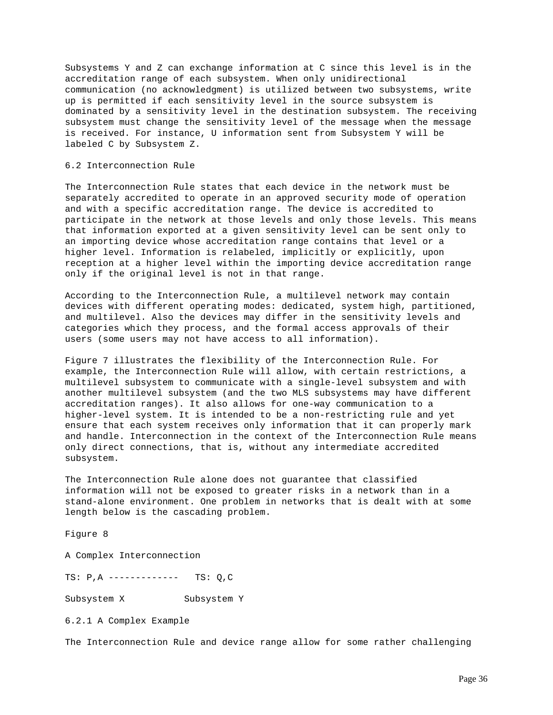Subsystems Y and Z can exchange information at C since this level is in the accreditation range of each subsystem. When only unidirectional communication (no acknowledgment) is utilized between two subsystems, write up is permitted if each sensitivity level in the source subsystem is dominated by a sensitivity level in the destination subsystem. The receiving subsystem must change the sensitivity level of the message when the message is received. For instance, U information sent from Subsystem Y will be labeled C by Subsystem Z.

#### 6.2 Interconnection Rule

The Interconnection Rule states that each device in the network must be separately accredited to operate in an approved security mode of operation and with a specific accreditation range. The device is accredited to participate in the network at those levels and only those levels. This means that information exported at a given sensitivity level can be sent only to an importing device whose accreditation range contains that level or a higher level. Information is relabeled, implicitly or explicitly, upon reception at a higher level within the importing device accreditation range only if the original level is not in that range.

According to the Interconnection Rule, a multilevel network may contain devices with different operating modes: dedicated, system high, partitioned, and multilevel. Also the devices may differ in the sensitivity levels and categories which they process, and the formal access approvals of their users (some users may not have access to all information).

Figure 7 illustrates the flexibility of the Interconnection Rule. For example, the Interconnection Rule will allow, with certain restrictions, a multilevel subsystem to communicate with a single-level subsystem and with another multilevel subsystem (and the two MLS subsystems may have different accreditation ranges). It also allows for one-way communication to a higher-level system. It is intended to be a non-restricting rule and yet ensure that each system receives only information that it can properly mark and handle. Interconnection in the context of the Interconnection Rule means only direct connections, that is, without any intermediate accredited subsystem.

The Interconnection Rule alone does not guarantee that classified information will not be exposed to greater risks in a network than in a stand-alone environment. One problem in networks that is dealt with at some length below is the cascading problem.

Figure 8

A Complex Interconnection

TS: P,A ------------- TS: Q,C

Subsystem X Subsystem Y

6.2.1 A Complex Example

The Interconnection Rule and device range allow for some rather challenging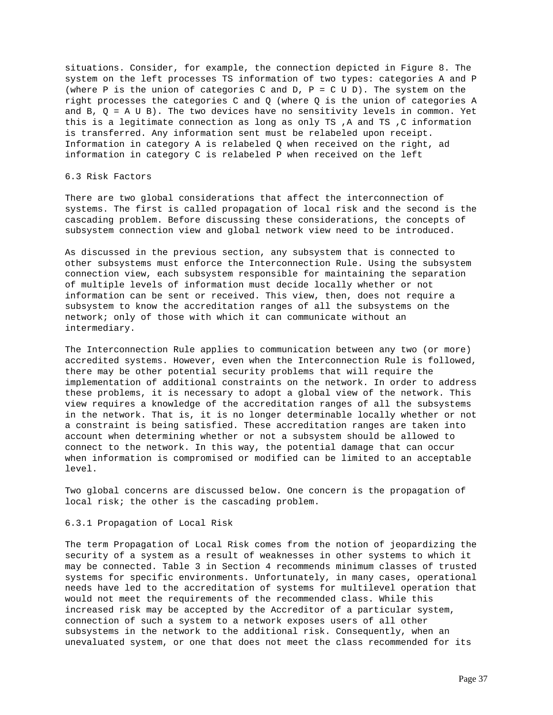situations. Consider, for example, the connection depicted in Figure 8. The system on the left processes TS information of two types: categories A and P (where P is the union of categories C and D,  $P = C U D$ ). The system on the right processes the categories C and Q (where Q is the union of categories A and  $B$ ,  $Q = A U B$ ). The two devices have no sensitivity levels in common. Yet this is a legitimate connection as long as only TS ,A and TS ,C information is transferred. Any information sent must be relabeled upon receipt. Information in category A is relabeled Q when received on the right, ad information in category C is relabeled P when received on the left

### 6.3 Risk Factors

There are two global considerations that affect the interconnection of systems. The first is called propagation of local risk and the second is the cascading problem. Before discussing these considerations, the concepts of subsystem connection view and global network view need to be introduced.

As discussed in the previous section, any subsystem that is connected to other subsystems must enforce the Interconnection Rule. Using the subsystem connection view, each subsystem responsible for maintaining the separation of multiple levels of information must decide locally whether or not information can be sent or received. This view, then, does not require a subsystem to know the accreditation ranges of all the subsystems on the network; only of those with which it can communicate without an intermediary.

The Interconnection Rule applies to communication between any two (or more) accredited systems. However, even when the Interconnection Rule is followed, there may be other potential security problems that will require the implementation of additional constraints on the network. In order to address these problems, it is necessary to adopt a global view of the network. This view requires a knowledge of the accreditation ranges of all the subsystems in the network. That is, it is no longer determinable locally whether or not a constraint is being satisfied. These accreditation ranges are taken into account when determining whether or not a subsystem should be allowed to connect to the network. In this way, the potential damage that can occur when information is compromised or modified can be limited to an acceptable level.

Two global concerns are discussed below. One concern is the propagation of local risk; the other is the cascading problem.

### 6.3.1 Propagation of Local Risk

The term Propagation of Local Risk comes from the notion of jeopardizing the security of a system as a result of weaknesses in other systems to which it may be connected. Table 3 in Section 4 recommends minimum classes of trusted systems for specific environments. Unfortunately, in many cases, operational needs have led to the accreditation of systems for multilevel operation that would not meet the requirements of the recommended class. While this increased risk may be accepted by the Accreditor of a particular system, connection of such a system to a network exposes users of all other subsystems in the network to the additional risk. Consequently, when an unevaluated system, or one that does not meet the class recommended for its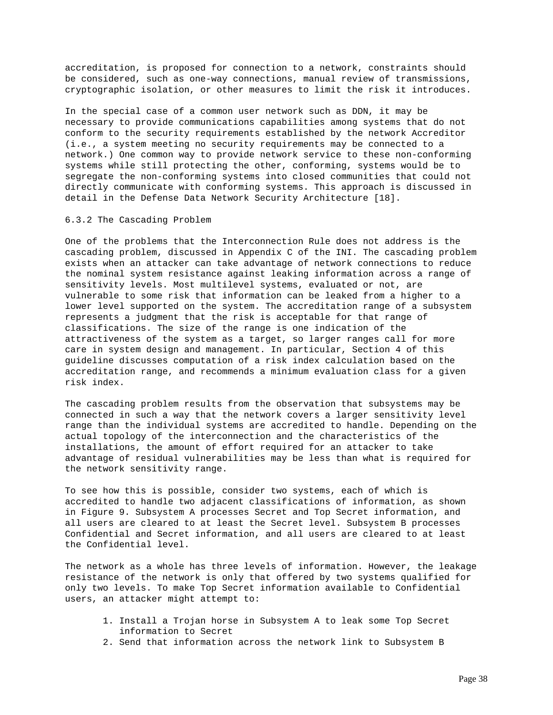accreditation, is proposed for connection to a network, constraints should be considered, such as one-way connections, manual review of transmissions, cryptographic isolation, or other measures to limit the risk it introduces.

In the special case of a common user network such as DDN, it may be necessary to provide communications capabilities among systems that do not conform to the security requirements established by the network Accreditor (i.e., a system meeting no security requirements may be connected to a network.) One common way to provide network service to these non-conforming systems while still protecting the other, conforming, systems would be to segregate the non-conforming systems into closed communities that could not directly communicate with conforming systems. This approach is discussed in detail in the Defense Data Network Security Architecture [18].

### 6.3.2 The Cascading Problem

One of the problems that the Interconnection Rule does not address is the cascading problem, discussed in Appendix C of the INI. The cascading problem exists when an attacker can take advantage of network connections to reduce the nominal system resistance against leaking information across a range of sensitivity levels. Most multilevel systems, evaluated or not, are vulnerable to some risk that information can be leaked from a higher to a lower level supported on the system. The accreditation range of a subsystem represents a judgment that the risk is acceptable for that range of classifications. The size of the range is one indication of the attractiveness of the system as a target, so larger ranges call for more care in system design and management. In particular, Section 4 of this guideline discusses computation of a risk index calculation based on the accreditation range, and recommends a minimum evaluation class for a given risk index.

The cascading problem results from the observation that subsystems may be connected in such a way that the network covers a larger sensitivity level range than the individual systems are accredited to handle. Depending on the actual topology of the interconnection and the characteristics of the installations, the amount of effort required for an attacker to take advantage of residual vulnerabilities may be less than what is required for the network sensitivity range.

To see how this is possible, consider two systems, each of which is accredited to handle two adjacent classifications of information, as shown in Figure 9. Subsystem A processes Secret and Top Secret information, and all users are cleared to at least the Secret level. Subsystem B processes Confidential and Secret information, and all users are cleared to at least the Confidential level.

The network as a whole has three levels of information. However, the leakage resistance of the network is only that offered by two systems qualified for only two levels. To make Top Secret information available to Confidential users, an attacker might attempt to:

- 1. Install a Trojan horse in Subsystem A to leak some Top Secret information to Secret
- 2. Send that information across the network link to Subsystem B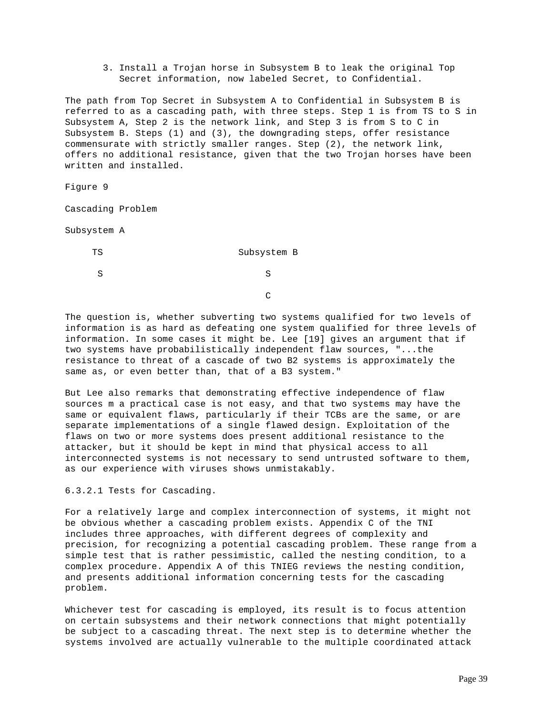3. Install a Trojan horse in Subsystem B to leak the original Top Secret information, now labeled Secret, to Confidential.

The path from Top Secret in Subsystem A to Confidential in Subsystem B is referred to as a cascading path, with three steps. Step 1 is from TS to S in Subsystem A, Step 2 is the network link, and Step 3 is from S to C in Subsystem B. Steps (1) and (3), the downgrading steps, offer resistance commensurate with strictly smaller ranges. Step (2), the network link, offers no additional resistance, given that the two Trojan horses have been written and installed.

Figure 9

Cascading Problem

Subsystem A

TS Subsystem B

S S

**C** CONTROLLER CONTROLLER CONTROLLER CONTROLLER CONTROLLER CONTROLLER CONTROLLER CONTROLLER CONTROLLER CONTROLLER CONTROLLER CONTROLLER CONTROLLER CONTROLLER CONTROLLER CONTROLLER CONTROLLER CONTROLLER CONTROLLER CONTROLLE

The question is, whether subverting two systems qualified for two levels of information is as hard as defeating one system qualified for three levels of information. In some cases it might be. Lee [19] gives an argument that if two systems have probabilistically independent flaw sources, "...the resistance to threat of a cascade of two B2 systems is approximately the same as, or even better than, that of a B3 system."

But Lee also remarks that demonstrating effective independence of flaw sources m a practical case is not easy, and that two systems may have the same or equivalent flaws, particularly if their TCBs are the same, or are separate implementations of a single flawed design. Exploitation of the flaws on two or more systems does present additional resistance to the attacker, but it should be kept in mind that physical access to all interconnected systems is not necessary to send untrusted software to them, as our experience with viruses shows unmistakably.

6.3.2.1 Tests for Cascading.

For a relatively large and complex interconnection of systems, it might not be obvious whether a cascading problem exists. Appendix C of the TNI includes three approaches, with different degrees of complexity and precision, for recognizing a potential cascading problem. These range from a simple test that is rather pessimistic, called the nesting condition, to a complex procedure. Appendix A of this TNIEG reviews the nesting condition, and presents additional information concerning tests for the cascading problem.

Whichever test for cascading is employed, its result is to focus attention on certain subsystems and their network connections that might potentially be subject to a cascading threat. The next step is to determine whether the systems involved are actually vulnerable to the multiple coordinated attack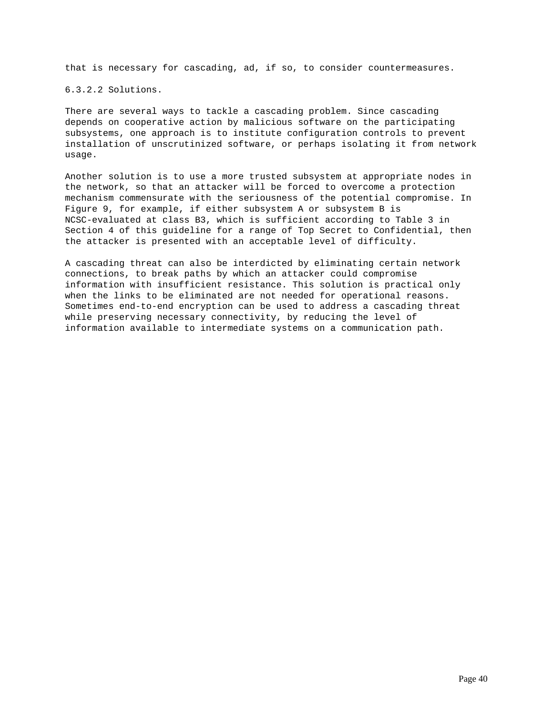that is necessary for cascading, ad, if so, to consider countermeasures.

6.3.2.2 Solutions.

There are several ways to tackle a cascading problem. Since cascading depends on cooperative action by malicious software on the participating subsystems, one approach is to institute configuration controls to prevent installation of unscrutinized software, or perhaps isolating it from network usage.

Another solution is to use a more trusted subsystem at appropriate nodes in the network, so that an attacker will be forced to overcome a protection mechanism commensurate with the seriousness of the potential compromise. In Figure 9, for example, if either subsystem A or subsystem B is NCSC-evaluated at class B3, which is sufficient according to Table 3 in Section 4 of this guideline for a range of Top Secret to Confidential, then the attacker is presented with an acceptable level of difficulty.

A cascading threat can also be interdicted by eliminating certain network connections, to break paths by which an attacker could compromise information with insufficient resistance. This solution is practical only when the links to be eliminated are not needed for operational reasons. Sometimes end-to-end encryption can be used to address a cascading threat while preserving necessary connectivity, by reducing the level of information available to intermediate systems on a communication path.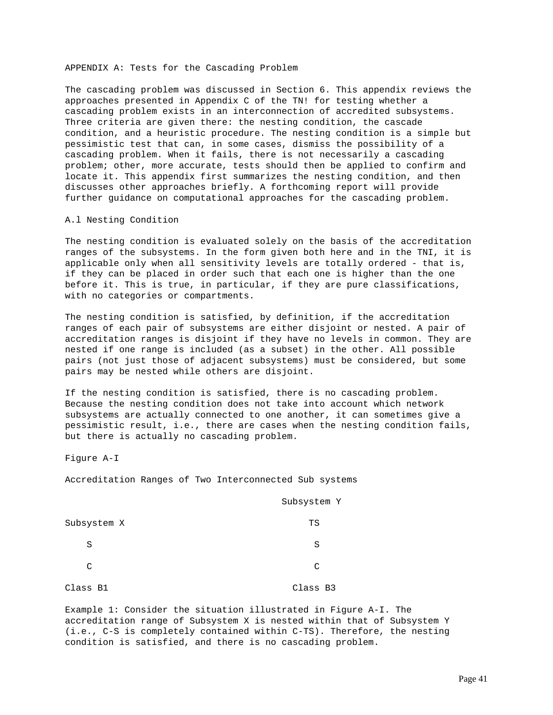APPENDIX A: Tests for the Cascading Problem

The cascading problem was discussed in Section 6. This appendix reviews the approaches presented in Appendix C of the TN! for testing whether a cascading problem exists in an interconnection of accredited subsystems. Three criteria are given there: the nesting condition, the cascade condition, and a heuristic procedure. The nesting condition is a simple but pessimistic test that can, in some cases, dismiss the possibility of a cascading problem. When it fails, there is not necessarily a cascading problem; other, more accurate, tests should then be applied to confirm and locate it. This appendix first summarizes the nesting condition, and then discusses other approaches briefly. A forthcoming report will provide further guidance on computational approaches for the cascading problem.

### A.l Nesting Condition

The nesting condition is evaluated solely on the basis of the accreditation ranges of the subsystems. In the form given both here and in the TNI, it is applicable only when all sensitivity levels are totally ordered - that is, if they can be placed in order such that each one is higher than the one before it. This is true, in particular, if they are pure classifications, with no categories or compartments.

The nesting condition is satisfied, by definition, if the accreditation ranges of each pair of subsystems are either disjoint or nested. A pair of accreditation ranges is disjoint if they have no levels in common. They are nested if one range is included (as a subset) in the other. All possible pairs (not just those of adjacent subsystems) must be considered, but some pairs may be nested while others are disjoint.

If the nesting condition is satisfied, there is no cascading problem. Because the nesting condition does not take into account which network subsystems are actually connected to one another, it can sometimes give a pessimistic result, i.e., there are cases when the nesting condition fails, but there is actually no cascading problem.

Figure A-I

Accreditation Ranges of Two Interconnected Sub systems

|             | Subsystem Y |
|-------------|-------------|
| Subsystem X | TS          |
| S           | S           |
| C           | C           |
| Class B1    | Class B3    |

Example 1: Consider the situation illustrated in Figure A-I. The accreditation range of Subsystem X is nested within that of Subsystem Y (i.e., C-S is completely contained within C-TS). Therefore, the nesting condition is satisfied, and there is no cascading problem.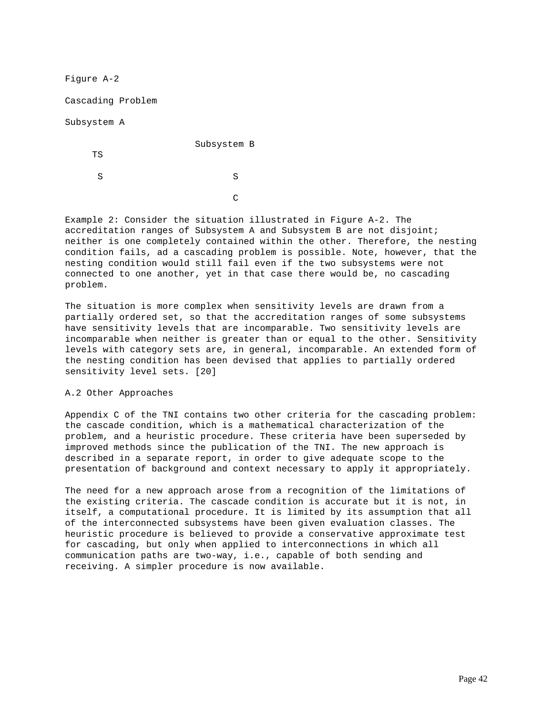Figure A-2

Cascading Problem

Subsystem A

Subsystem B

TS

S S

**C** 

Example 2: Consider the situation illustrated in Figure A-2. The accreditation ranges of Subsystem A and Subsystem B are not disjoint; neither is one completely contained within the other. Therefore, the nesting condition fails, ad a cascading problem is possible. Note, however, that the nesting condition would still fail even if the two subsystems were not connected to one another, yet in that case there would be, no cascading problem.

The situation is more complex when sensitivity levels are drawn from a partially ordered set, so that the accreditation ranges of some subsystems have sensitivity levels that are incomparable. Two sensitivity levels are incomparable when neither is greater than or equal to the other. Sensitivity levels with category sets are, in general, incomparable. An extended form of the nesting condition has been devised that applies to partially ordered sensitivity level sets. [20]

## A.2 Other Approaches

Appendix C of the TNI contains two other criteria for the cascading problem: the cascade condition, which is a mathematical characterization of the problem, and a heuristic procedure. These criteria have been superseded by improved methods since the publication of the TNI. The new approach is described in a separate report, in order to give adequate scope to the presentation of background and context necessary to apply it appropriately.

The need for a new approach arose from a recognition of the limitations of the existing criteria. The cascade condition is accurate but it is not, in itself, a computational procedure. It is limited by its assumption that all of the interconnected subsystems have been given evaluation classes. The heuristic procedure is believed to provide a conservative approximate test for cascading, but only when applied to interconnections in which all communication paths are two-way, i.e., capable of both sending and receiving. A simpler procedure is now available.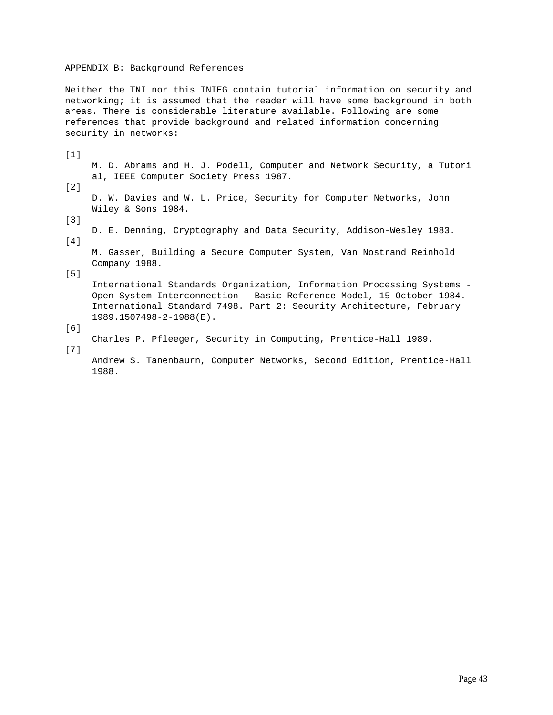### APPENDIX B: Background References

Neither the TNI nor this TNIEG contain tutorial information on security and networking; it is assumed that the reader will have some background in both areas. There is considerable literature available. Following are some references that provide background and related information concerning security in networks:

[1] M. D. Abrams and H. J. Podell, Computer and Network Security, a Tutori al, IEEE Computer Society Press 1987. [2]

 D. W. Davies and W. L. Price, Security for Computer Networks, John Wiley & Sons 1984.

[3]

 D. E. Denning, Cryptography and Data Security, Addison-Wesley 1983.  $[4]$ 

 M. Gasser, Building a Secure Computer System, Van Nostrand Reinhold Company 1988.

[5]

 International Standards Organization, Information Processing Systems - Open System Interconnection - Basic Reference Model, 15 October 1984. International Standard 7498. Part 2: Security Architecture, February 1989.1507498-2-1988(E).

Charles P. Pfleeger, Security in Computing, Prentice-Hall 1989.

[7]

[6]

 Andrew S. Tanenbaurn, Computer Networks, Second Edition, Prentice-Hall 1988.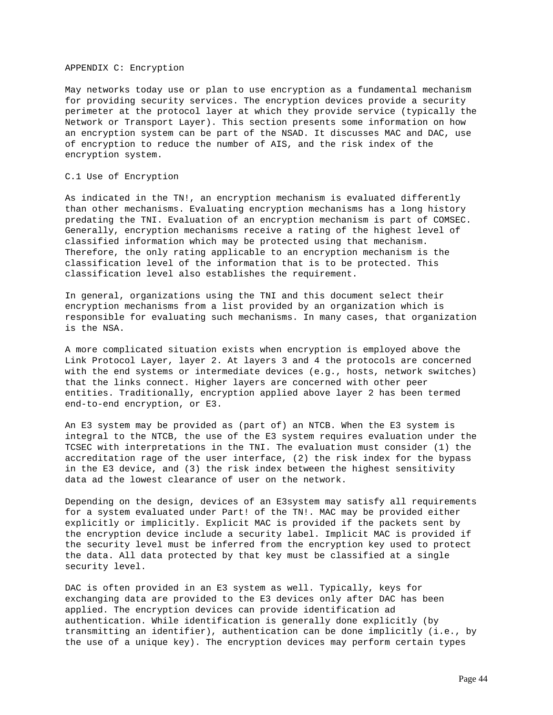#### APPENDIX C: Encryption

May networks today use or plan to use encryption as a fundamental mechanism for providing security services. The encryption devices provide a security perimeter at the protocol layer at which they provide service (typically the Network or Transport Layer). This section presents some information on how an encryption system can be part of the NSAD. It discusses MAC and DAC, use of encryption to reduce the number of AIS, and the risk index of the encryption system.

### C.1 Use of Encryption

As indicated in the TN!, an encryption mechanism is evaluated differently than other mechanisms. Evaluating encryption mechanisms has a long history predating the TNI. Evaluation of an encryption mechanism is part of COMSEC. Generally, encryption mechanisms receive a rating of the highest level of classified information which may be protected using that mechanism. Therefore, the only rating applicable to an encryption mechanism is the classification level of the information that is to be protected. This classification level also establishes the requirement.

In general, organizations using the TNI and this document select their encryption mechanisms from a list provided by an organization which is responsible for evaluating such mechanisms. In many cases, that organization is the NSA.

A more complicated situation exists when encryption is employed above the Link Protocol Layer, layer 2. At layers 3 and 4 the protocols are concerned with the end systems or intermediate devices (e.g., hosts, network switches) that the links connect. Higher layers are concerned with other peer entities. Traditionally, encryption applied above layer 2 has been termed end-to-end encryption, or E3.

An E3 system may be provided as (part of) an NTCB. When the E3 system is integral to the NTCB, the use of the E3 system requires evaluation under the TCSEC with interpretations in the TNI. The evaluation must consider (1) the accreditation rage of the user interface, (2) the risk index for the bypass in the E3 device, and (3) the risk index between the highest sensitivity data ad the lowest clearance of user on the network.

Depending on the design, devices of an E3system may satisfy all requirements for a system evaluated under Part! of the TN!. MAC may be provided either explicitly or implicitly. Explicit MAC is provided if the packets sent by the encryption device include a security label. Implicit MAC is provided if the security level must be inferred from the encryption key used to protect the data. All data protected by that key must be classified at a single security level.

DAC is often provided in an E3 system as well. Typically, keys for exchanging data are provided to the E3 devices only after DAC has been applied. The encryption devices can provide identification ad authentication. While identification is generally done explicitly (by transmitting an identifier), authentication can be done implicitly (i.e., by the use of a unique key). The encryption devices may perform certain types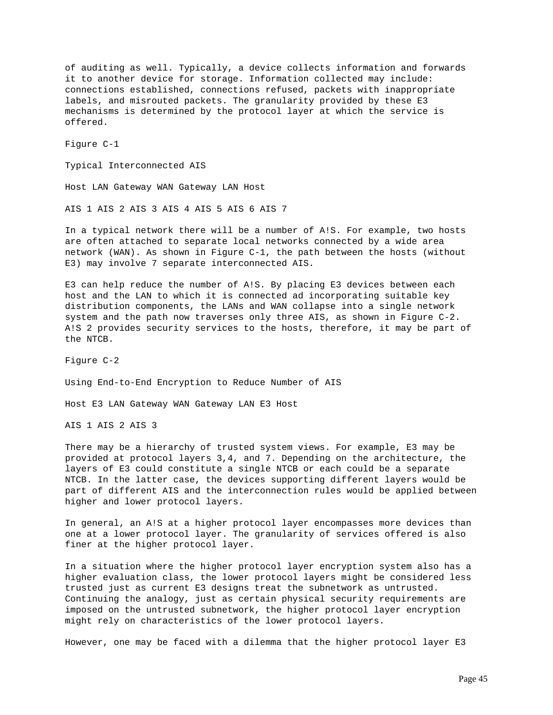of auditing as well. Typically, a device collects information and forwards it to another device for storage. Information collected may include: connections established, connections refused, packets with inappropriate labels, and misrouted packets. The granularity provided by these E3 mechanisms is determined by the protocol layer at which the service is offered.

Figure C-1

Typical Interconnected AIS

Host LAN Gateway WAN Gateway LAN Host

AIS 1 AIS 2 AIS 3 AIS 4 AIS 5 AIS 6 AIS 7

In a typical network there will be a number of A!S. For example, two hosts are often attached to separate local networks connected by a wide area network (WAN). As shown in Figure C-1, the path between the hosts (without E3) may involve 7 separate interconnected AIS.

E3 can help reduce the number of A!S. By placing E3 devices between each host and the LAN to which it is connected ad incorporating suitable key distribution components, the LANs and WAN collapse into a single network system and the path now traverses only three AIS, as shown in Figure C-2. A!S 2 provides security services to the hosts, therefore, it may be part of the NTCB.

Figure C-2

Using End-to-End Encryption to Reduce Number of AIS

Host E3 LAN Gateway WAN Gateway LAN E3 Host

AIS 1 AIS 2 AIS 3

There may be a hierarchy of trusted system views. For example, E3 may be provided at protocol layers 3,4, and 7. Depending on the architecture, the layers of E3 could constitute a single NTCB or each could be a separate NTCB. In the latter case, the devices supporting different layers would be part of different AIS and the interconnection rules would be applied between higher and lower protocol layers.

In general, an A!S at a higher protocol layer encompasses more devices than one at a lower protocol layer. The granularity of services offered is also finer at the higher protocol layer.

In a situation where the higher protocol layer encryption system also has a higher evaluation class, the lower protocol layers might be considered less trusted just as current E3 designs treat the subnetwork as untrusted. Continuing the analogy, just as certain physical security requirements are imposed on the untrusted subnetwork, the higher protocol layer encryption might rely on characteristics of the lower protocol layers.

However, one may be faced with a dilemma that the higher protocol layer E3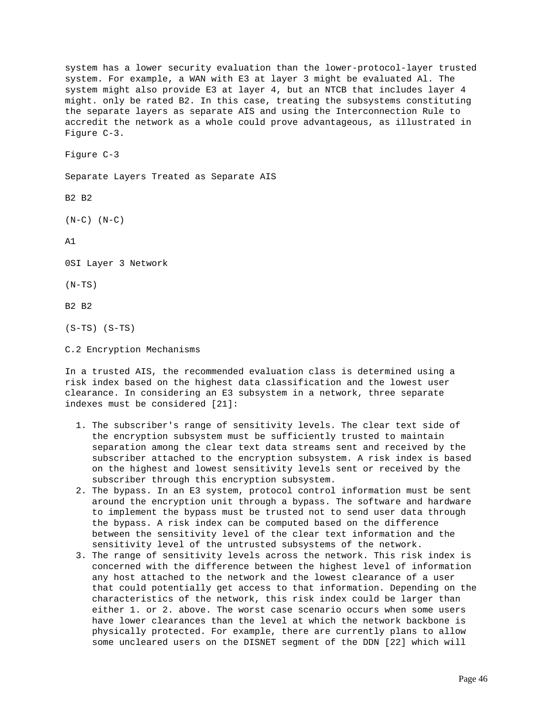system has a lower security evaluation than the lower-protocol-layer trusted system. For example, a WAN with E3 at layer 3 might be evaluated Al. The system might also provide E3 at layer 4, but an NTCB that includes layer 4 might. only be rated B2. In this case, treating the subsystems constituting the separate layers as separate AIS and using the Interconnection Rule to accredit the network as a whole could prove advantageous, as illustrated in Figure C-3.

Figure C-3

Separate Layers Treated as Separate AIS

B2 B2

 $(N-C)$   $(N-C)$ 

A1

0SI Layer 3 Network

 $(N-TS)$ 

B2 B2

(S-TS) (S-TS)

C.2 Encryption Mechanisms

In a trusted AIS, the recommended evaluation class is determined using a risk index based on the highest data classification and the lowest user clearance. In considering an E3 subsystem in a network, three separate indexes must be considered [21]:

- 1. The subscriber's range of sensitivity levels. The clear text side of the encryption subsystem must be sufficiently trusted to maintain separation among the clear text data streams sent and received by the subscriber attached to the encryption subsystem. A risk index is based on the highest and lowest sensitivity levels sent or received by the subscriber through this encryption subsystem.
- 2. The bypass. In an E3 system, protocol control information must be sent around the encryption unit through a bypass. The software and hardware to implement the bypass must be trusted not to send user data through the bypass. A risk index can be computed based on the difference between the sensitivity level of the clear text information and the sensitivity level of the untrusted subsystems of the network.
- 3. The range of sensitivity levels across the network. This risk index is concerned with the difference between the highest level of information any host attached to the network and the lowest clearance of a user that could potentially get access to that information. Depending on the characteristics of the network, this risk index could be larger than either 1. or 2. above. The worst case scenario occurs when some users have lower clearances than the level at which the network backbone is physically protected. For example, there are currently plans to allow some uncleared users on the DISNET segment of the DDN [22] which will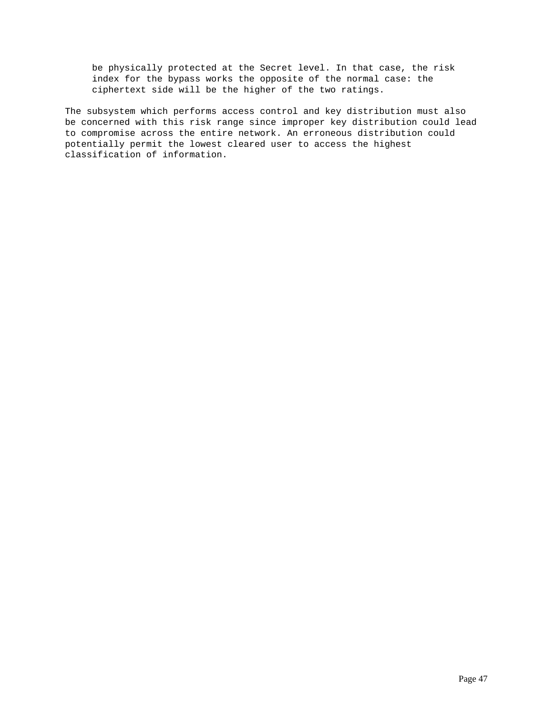be physically protected at the Secret level. In that case, the risk index for the bypass works the opposite of the normal case: the ciphertext side will be the higher of the two ratings.

The subsystem which performs access control and key distribution must also be concerned with this risk range since improper key distribution could lead to compromise across the entire network. An erroneous distribution could potentially permit the lowest cleared user to access the highest classification of information.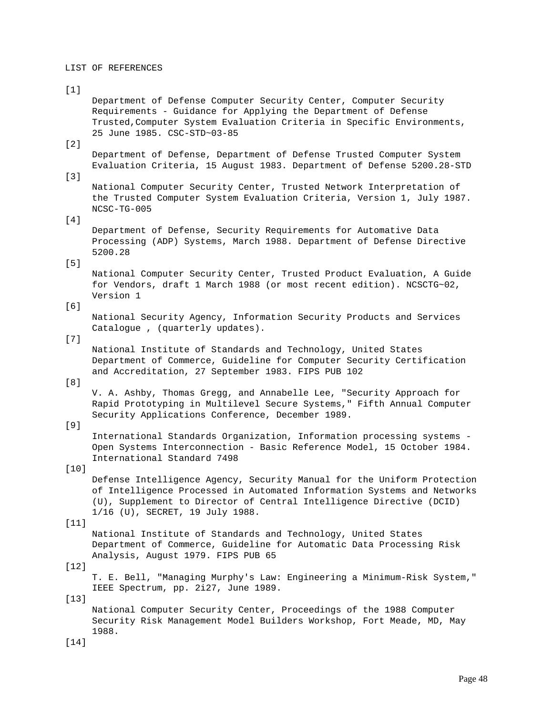#### LIST OF REFERENCES

## $[1]$

 Department of Defense Computer Security Center, Computer Security Requirements - Guidance for Applying the Department of Defense Trusted,Computer System Evaluation Criteria in Specific Environments, 25 June 1985. CSC-STD~03-85

# [2]

 Department of Defense, Department of Defense Trusted Computer System Evaluation Criteria, 15 August 1983. Department of Defense 5200.28-STD

[3]

 National Computer Security Center, Trusted Network Interpretation of the Trusted Computer System Evaluation Criteria, Version 1, July 1987. NCSC-TG-005

 $[4]$ 

 Department of Defense, Security Requirements for Automative Data Processing (ADP) Systems, March 1988. Department of Defense Directive 5200.28

# [5]

 National Computer Security Center, Trusted Product Evaluation, A Guide for Vendors, draft 1 March 1988 (or most recent edition). NCSCTG~02, Version 1

## [6]

 National Security Agency, Information Security Products and Services Catalogue , (quarterly updates).

### [7]

 National Institute of Standards and Technology, United States Department of Commerce, Guideline for Computer Security Certification and Accreditation, 27 September 1983. FIPS PUB 102

[8]

 V. A. Ashby, Thomas Gregg, and Annabelle Lee, "Security Approach for Rapid Prototyping in Multilevel Secure Systems," Fifth Annual Computer Security Applications Conference, December 1989.

## [9]

 International Standards Organization, Information processing systems - Open Systems Interconnection - Basic Reference Model, 15 October 1984. International Standard 7498

### [10]

 Defense Intelligence Agency, Security Manual for the Uniform Protection of Intelligence Processed in Automated Information Systems and Networks (U), Supplement to Director of Central Intelligence Directive (DCID) 1/16 (U), SECRET, 19 July 1988.

### $[11]$

 National Institute of Standards and Technology, United States Department of Commerce, Guideline for Automatic Data Processing Risk Analysis, August 1979. FIPS PUB 65

[12]

 T. E. Bell, "Managing Murphy's Law: Engineering a Minimum-Risk System," IEEE Spectrum, pp. 2i27, June 1989.

#### [13]

 National Computer Security Center, Proceedings of the 1988 Computer Security Risk Management Model Builders Workshop, Fort Meade, MD, May 1988.

[14]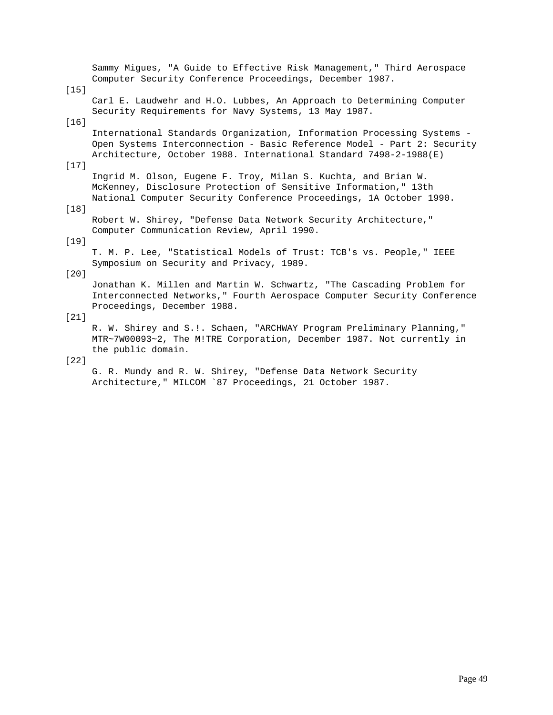Sammy Migues, "A Guide to Effective Risk Management," Third Aerospace Computer Security Conference Proceedings, December 1987. [15] Carl E. Laudwehr and H.O. Lubbes, An Approach to Determining Computer Security Requirements for Navy Systems, 13 May 1987. [16] International Standards Organization, Information Processing Systems - Open Systems Interconnection - Basic Reference Model - Part 2: Security Architecture, October 1988. International Standard 7498-2-1988(E) [17] Ingrid M. Olson, Eugene F. Troy, Milan S. Kuchta, and Brian W. McKenney, Disclosure Protection of Sensitive Information," 13th National Computer Security Conference Proceedings, 1A October 1990. [18] Robert W. Shirey, "Defense Data Network Security Architecture," Computer Communication Review, April 1990. [19] T. M. P. Lee, "Statistical Models of Trust: TCB's vs. People," IEEE Symposium on Security and Privacy, 1989. [20] Jonathan K. Millen and Martin W. Schwartz, "The Cascading Problem for Interconnected Networks," Fourth Aerospace Computer Security Conference Proceedings, December 1988. [21] R. W. Shirey and S.!. Schaen, "ARCHWAY Program Preliminary Planning," MTR~7W00093~2, The M!TRE Corporation, December 1987. Not currently in the public domain. [22]

 G. R. Mundy and R. W. Shirey, "Defense Data Network Security Architecture," MILCOM `87 Proceedings, 21 October 1987.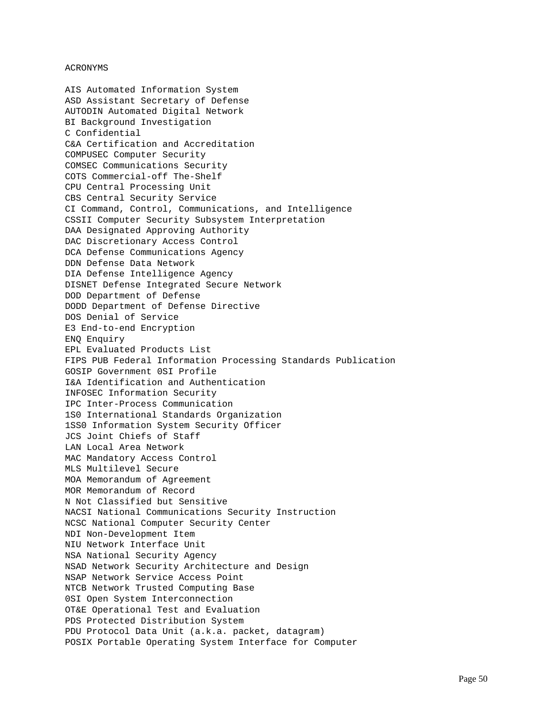## ACRONYMS

AIS Automated Information System ASD Assistant Secretary of Defense AUTODIN Automated Digital Network BI Background Investigation C Confidential C&A Certification and Accreditation COMPUSEC Computer Security COMSEC Communications Security COTS Commercial-off The-Shelf CPU Central Processing Unit CBS Central Security Service CI Command, Control, Communications, and Intelligence CSSII Computer Security Subsystem Interpretation DAA Designated Approving Authority DAC Discretionary Access Control DCA Defense Communications Agency DDN Defense Data Network DIA Defense Intelligence Agency DISNET Defense Integrated Secure Network DOD Department of Defense DODD Department of Defense Directive DOS Denial of Service E3 End-to-end Encryption ENQ Enquiry EPL Evaluated Products List FIPS PUB Federal Information Processing Standards Publication GOSIP Government 0SI Profile I&A Identification and Authentication INFOSEC Information Security IPC Inter-Process Communication 1S0 International Standards Organization 1SS0 Information System Security Officer JCS Joint Chiefs of Staff LAN Local Area Network MAC Mandatory Access Control MLS Multilevel Secure MOA Memorandum of Agreement MOR Memorandum of Record N Not Classified but Sensitive NACSI National Communications Security Instruction NCSC National Computer Security Center NDI Non-Development Item NIU Network Interface Unit NSA National Security Agency NSAD Network Security Architecture and Design NSAP Network Service Access Point NTCB Network Trusted Computing Base 0SI Open System Interconnection OT&E Operational Test and Evaluation PDS Protected Distribution System PDU Protocol Data Unit (a.k.a. packet, datagram) POSIX Portable Operating System Interface for Computer